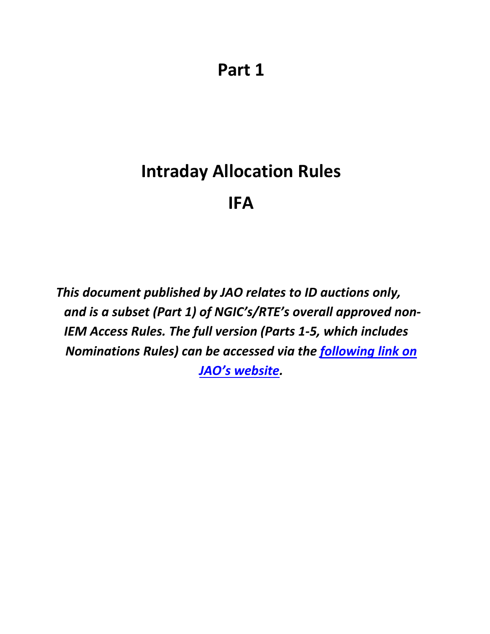# **Intraday Allocation Rules IFA**

*This document published by JAO relates to ID auctions only, and is a subset (Part 1) of NGIC's/RTE's overall approved non-IEM Access Rules. The full version (Parts 1-5, which includes Nominations Rules) can be accessed via the [following](http://www.jao.eu/support/resourcecenter/overview?parameters=%7B%22IsIFA%22%3A%22True%22%7D) [link](http://www.jao.eu/support/resourcecenter/overview?parameters=%7B%22IsIFA%22%3A%22True%22%7D) [on](http://www.jao.eu/support/resourcecenter/overview?parameters=%7B%22IsIFA%22%3A%22True%22%7D) [JAO's website.](http://www.jao.eu/support/resourcecenter/overview?parameters=%7B%22IsIFA%22%3A%22True%22%7D)*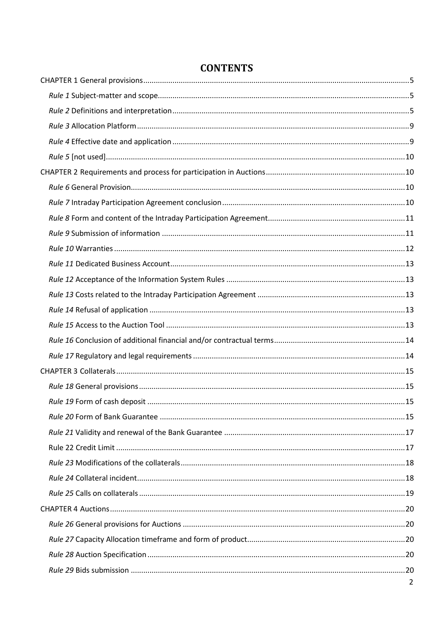| $\overline{2}$ |
|----------------|

# **CONTENTS**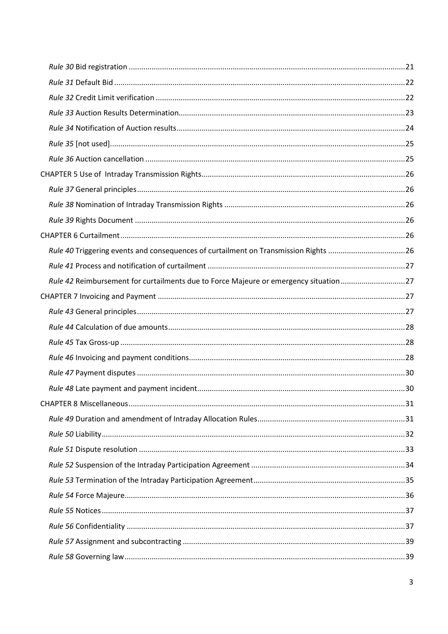| Rule 40 Triggering events and consequences of curtailment on Transmission Rights 26  |  |
|--------------------------------------------------------------------------------------|--|
|                                                                                      |  |
| Rule 42 Reimbursement for curtailments due to Force Majeure or emergency situation27 |  |
|                                                                                      |  |
|                                                                                      |  |
|                                                                                      |  |
|                                                                                      |  |
|                                                                                      |  |
|                                                                                      |  |
|                                                                                      |  |
|                                                                                      |  |
|                                                                                      |  |
|                                                                                      |  |
|                                                                                      |  |
|                                                                                      |  |
|                                                                                      |  |
|                                                                                      |  |
|                                                                                      |  |
|                                                                                      |  |
|                                                                                      |  |
|                                                                                      |  |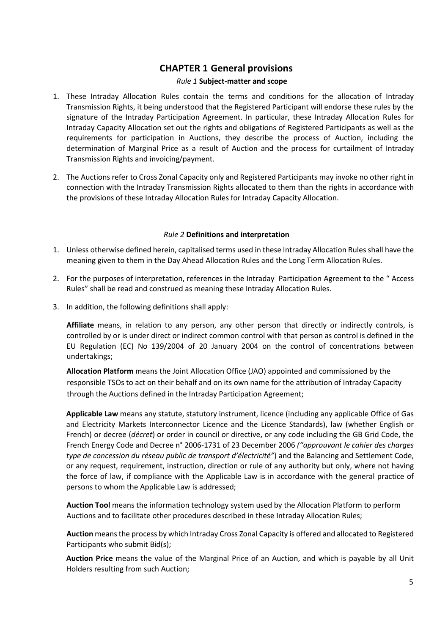## **CHAPTER 1 General provisions**

## *Rule 1* **Subject-matter and scope**

- <span id="page-4-1"></span><span id="page-4-0"></span>1. These Intraday Allocation Rules contain the terms and conditions for the allocation of Intraday Transmission Rights, it being understood that the Registered Participant will endorse these rules by the signature of the Intraday Participation Agreement. In particular, these Intraday Allocation Rules for Intraday Capacity Allocation set out the rights and obligations of Registered Participants as well as the requirements for participation in Auctions, they describe the process of Auction, including the determination of Marginal Price as a result of Auction and the process for curtailment of Intraday Transmission Rights and invoicing/payment.
- 2. The Auctions refer to Cross Zonal Capacity only and Registered Participants may invoke no other right in connection with the Intraday Transmission Rights allocated to them than the rights in accordance with the provisions of these Intraday Allocation Rules for Intraday Capacity Allocation.

## *Rule 2* **Definitions and interpretation**

- <span id="page-4-2"></span>1. Unless otherwise defined herein, capitalised terms used in these Intraday Allocation Rules shall have the meaning given to them in the Day Ahead Allocation Rules and the Long Term Allocation Rules.
- 2. For the purposes of interpretation, references in the Intraday Participation Agreement to the " Access Rules" shall be read and construed as meaning these Intraday Allocation Rules.
- 3. In addition, the following definitions shall apply:

**Affiliate** means, in relation to any person, any other person that directly or indirectly controls, is controlled by or is under direct or indirect common control with that person as control is defined in the EU Regulation (EC) No 139/2004 of 20 January 2004 on the control of concentrations between undertakings;

**Allocation Platform** means the Joint Allocation Office (JAO) appointed and commissioned by the responsible TSOs to act on their behalf and on its own name for the attribution of Intraday Capacity through the Auctions defined in the Intraday Participation Agreement;

**Applicable Law** means any statute, statutory instrument, licence (including any applicable Office of Gas and Electricity Markets Interconnector Licence and the Licence Standards), law (whether English or French) or decree (*décret*) or order in council or directive, or any code including the GB Grid Code, the French Energy Code and Decree n° 2006-1731 of 23 December 2006 *("approuvant le cahier des charges type de concession du réseau public de transport d'électricité"*) and the Balancing and Settlement Code, or any request, requirement, instruction, direction or rule of any authority but only, where not having the force of law, if compliance with the Applicable Law is in accordance with the general practice of persons to whom the Applicable Law is addressed;

**Auction Tool** means the information technology system used by the Allocation Platform to perform Auctions and to facilitate other procedures described in these Intraday Allocation Rules;

**Auction** means the process by which Intraday Cross Zonal Capacity is offered and allocated to Registered Participants who submit Bid(s);

**Auction Price** means the value of the Marginal Price of an Auction, and which is payable by all Unit Holders resulting from such Auction;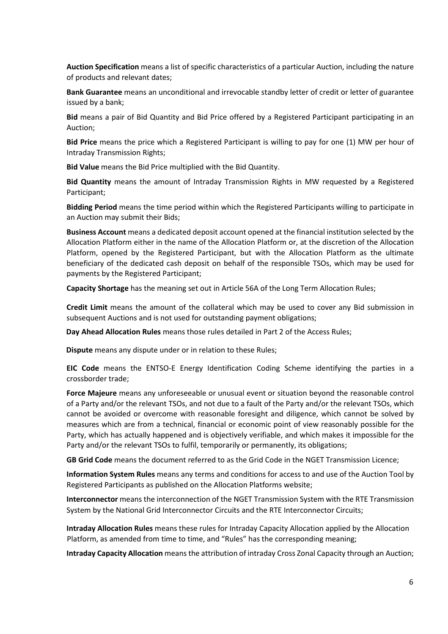**Auction Specification** means a list of specific characteristics of a particular Auction, including the nature of products and relevant dates;

**Bank Guarantee** means an unconditional and irrevocable standby letter of credit or letter of guarantee issued by a bank;

**Bid** means a pair of Bid Quantity and Bid Price offered by a Registered Participant participating in an Auction;

**Bid Price** means the price which a Registered Participant is willing to pay for one (1) MW per hour of Intraday Transmission Rights;

**Bid Value** means the Bid Price multiplied with the Bid Quantity.

**Bid Quantity** means the amount of Intraday Transmission Rights in MW requested by a Registered Participant;

**Bidding Period** means the time period within which the Registered Participants willing to participate in an Auction may submit their Bids;

**Business Account** means a dedicated deposit account opened at the financial institution selected by the Allocation Platform either in the name of the Allocation Platform or, at the discretion of the Allocation Platform, opened by the Registered Participant, but with the Allocation Platform as the ultimate beneficiary of the dedicated cash deposit on behalf of the responsible TSOs, which may be used for payments by the Registered Participant;

**Capacity Shortage** has the meaning set out in Article 56A of the Long Term Allocation Rules;

**Credit Limit** means the amount of the collateral which may be used to cover any Bid submission in subsequent Auctions and is not used for outstanding payment obligations;

**Day Ahead Allocation Rules** means those rules detailed in Part 2 of the Access Rules;

**Dispute** means any dispute under or in relation to these Rules;

**EIC Code** means the ENTSO-E Energy Identification Coding Scheme identifying the parties in a crossborder trade;

**Force Majeure** means any unforeseeable or unusual event or situation beyond the reasonable control of a Party and/or the relevant TSOs, and not due to a fault of the Party and/or the relevant TSOs, which cannot be avoided or overcome with reasonable foresight and diligence, which cannot be solved by measures which are from a technical, financial or economic point of view reasonably possible for the Party, which has actually happened and is objectively verifiable, and which makes it impossible for the Party and/or the relevant TSOs to fulfil, temporarily or permanently, its obligations;

**GB Grid Code** means the document referred to as the Grid Code in the NGET Transmission Licence;

**Information System Rules** means any terms and conditions for access to and use of the Auction Tool by Registered Participants as published on the Allocation Platforms website;

**Interconnector** means the interconnection of the NGET Transmission System with the RTE Transmission System by the National Grid Interconnector Circuits and the RTE Interconnector Circuits;

**Intraday Allocation Rules** means these rules for Intraday Capacity Allocation applied by the Allocation Platform, as amended from time to time, and "Rules" has the corresponding meaning;

**Intraday Capacity Allocation** means the attribution of intraday Cross Zonal Capacity through an Auction;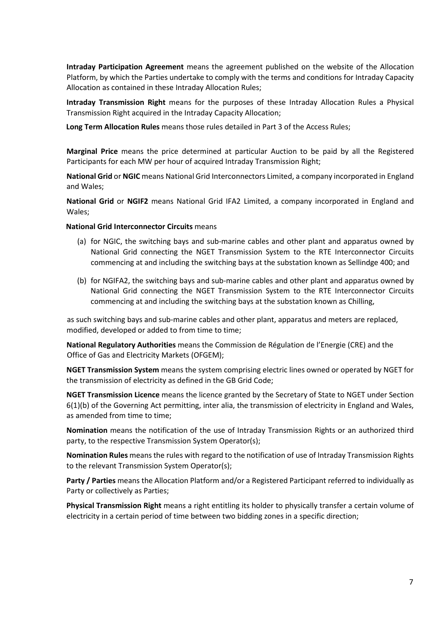**Intraday Participation Agreement** means the agreement published on the website of the Allocation Platform, by which the Parties undertake to comply with the terms and conditions for Intraday Capacity Allocation as contained in these Intraday Allocation Rules;

**Intraday Transmission Right** means for the purposes of these Intraday Allocation Rules a Physical Transmission Right acquired in the Intraday Capacity Allocation;

**Long Term Allocation Rules** means those rules detailed in Part 3 of the Access Rules;

**Marginal Price** means the price determined at particular Auction to be paid by all the Registered Participants for each MW per hour of acquired Intraday Transmission Right;

**National Grid** or **NGIC** means National Grid Interconnectors Limited, a company incorporated in England and Wales;

**National Grid** or **NGIF2** means National Grid IFA2 Limited, a company incorporated in England and Wales;

#### **National Grid Interconnector Circuits** means

- (a) for NGIC, the switching bays and sub-marine cables and other plant and apparatus owned by National Grid connecting the NGET Transmission System to the RTE Interconnector Circuits commencing at and including the switching bays at the substation known as Sellindge 400; and
- (b) for NGIFA2, the switching bays and sub-marine cables and other plant and apparatus owned by National Grid connecting the NGET Transmission System to the RTE Interconnector Circuits commencing at and including the switching bays at the substation known as Chilling,

as such switching bays and sub-marine cables and other plant, apparatus and meters are replaced, modified, developed or added to from time to time;

**National Regulatory Authorities** means the Commission de Régulation de l'Energie (CRE) and the Office of Gas and Electricity Markets (OFGEM);

**NGET Transmission System** means the system comprising electric lines owned or operated by NGET for the transmission of electricity as defined in the GB Grid Code;

**NGET Transmission Licence** means the licence granted by the Secretary of State to NGET under Section 6(1)(b) of the Governing Act permitting, inter alia, the transmission of electricity in England and Wales, as amended from time to time;

**Nomination** means the notification of the use of Intraday Transmission Rights or an authorized third party, to the respective Transmission System Operator(s);

**Nomination Rules** means the rules with regard to the notification of use of Intraday Transmission Rights to the relevant Transmission System Operator(s);

**Party / Parties** means the Allocation Platform and/or a Registered Participant referred to individually as Party or collectively as Parties;

**Physical Transmission Right** means a right entitling its holder to physically transfer a certain volume of electricity in a certain period of time between two bidding zones in a specific direction;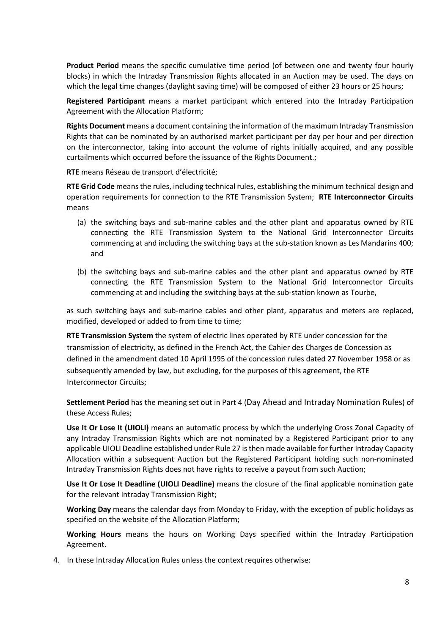**Product Period** means the specific cumulative time period (of between one and twenty four hourly blocks) in which the Intraday Transmission Rights allocated in an Auction may be used. The days on which the legal time changes (daylight saving time) will be composed of either 23 hours or 25 hours;

**Registered Participant** means a market participant which entered into the Intraday Participation Agreement with the Allocation Platform;

**Rights Document** means a document containing the information of the maximum Intraday Transmission Rights that can be nominated by an authorised market participant per day per hour and per direction on the interconnector, taking into account the volume of rights initially acquired, and any possible curtailments which occurred before the issuance of the Rights Document.;

**RTE** means Réseau de transport d'électricité;

**RTE Grid Code** means the rules, including technical rules, establishing the minimum technical design and operation requirements for connection to the RTE Transmission System; **RTE Interconnector Circuits** means

- (a) the switching bays and sub-marine cables and the other plant and apparatus owned by RTE connecting the RTE Transmission System to the National Grid Interconnector Circuits commencing at and including the switching bays at the sub-station known as Les Mandarins 400; and
- (b) the switching bays and sub-marine cables and the other plant and apparatus owned by RTE connecting the RTE Transmission System to the National Grid Interconnector Circuits commencing at and including the switching bays at the sub-station known as Tourbe,

as such switching bays and sub-marine cables and other plant, apparatus and meters are replaced, modified, developed or added to from time to time;

**RTE Transmission System** the system of electric lines operated by RTE under concession for the transmission of electricity, as defined in the French Act, the Cahier des Charges de Concession as defined in the amendment dated 10 April 1995 of the concession rules dated 27 November 1958 or as subsequently amended by law, but excluding, for the purposes of this agreement, the RTE Interconnector Circuits;

**Settlement Period** has the meaning set out in Part 4 (Day Ahead and Intraday Nomination Rules) of these Access Rules;

**Use It Or Lose It (UIOLI)** means an automatic process by which the underlying Cross Zonal Capacity of any Intraday Transmission Rights which are not nominated by a Registered Participant prior to any applicable UIOLI Deadline established under Rule 27 is then made available for further Intraday Capacity Allocation within a subsequent Auction but the Registered Participant holding such non-nominated Intraday Transmission Rights does not have rights to receive a payout from such Auction;

**Use It Or Lose It Deadline (UIOLI Deadline)** means the closure of the final applicable nomination gate for the relevant Intraday Transmission Right;

**Working Day** means the calendar days from Monday to Friday, with the exception of public holidays as specified on the website of the Allocation Platform;

**Working Hours** means the hours on Working Days specified within the Intraday Participation Agreement.

4. In these Intraday Allocation Rules unless the context requires otherwise: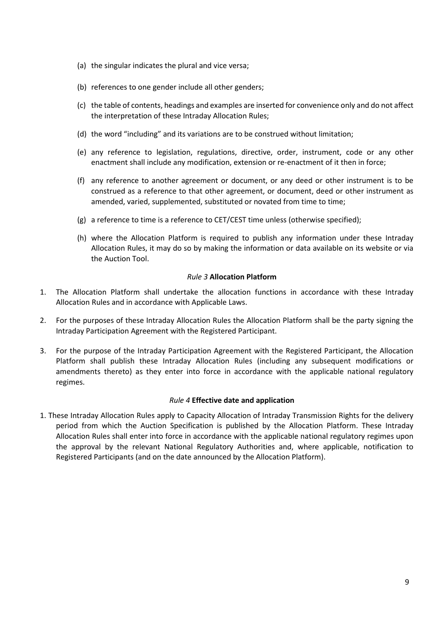- (a) the singular indicates the plural and vice versa;
- (b) references to one gender include all other genders;
- (c) the table of contents, headings and examples are inserted for convenience only and do not affect the interpretation of these Intraday Allocation Rules;
- (d) the word "including" and its variations are to be construed without limitation;
- (e) any reference to legislation, regulations, directive, order, instrument, code or any other enactment shall include any modification, extension or re-enactment of it then in force;
- (f) any reference to another agreement or document, or any deed or other instrument is to be construed as a reference to that other agreement, or document, deed or other instrument as amended, varied, supplemented, substituted or novated from time to time;
- (g) a reference to time is a reference to CET/CEST time unless (otherwise specified);
- (h) where the Allocation Platform is required to publish any information under these Intraday Allocation Rules, it may do so by making the information or data available on its website or via the Auction Tool.

## *Rule 3* **Allocation Platform**

- <span id="page-8-0"></span>1. The Allocation Platform shall undertake the allocation functions in accordance with these Intraday Allocation Rules and in accordance with Applicable Laws.
- 2. For the purposes of these Intraday Allocation Rules the Allocation Platform shall be the party signing the Intraday Participation Agreement with the Registered Participant.
- 3. For the purpose of the Intraday Participation Agreement with the Registered Participant, the Allocation Platform shall publish these Intraday Allocation Rules (including any subsequent modifications or amendments thereto) as they enter into force in accordance with the applicable national regulatory regimes.

## *Rule 4* **Effective date and application**

<span id="page-8-1"></span>1. These Intraday Allocation Rules apply to Capacity Allocation of Intraday Transmission Rights for the delivery period from which the Auction Specification is published by the Allocation Platform. These Intraday Allocation Rules shall enter into force in accordance with the applicable national regulatory regimes upon the approval by the relevant National Regulatory Authorities and, where applicable, notification to Registered Participants (and on the date announced by the Allocation Platform).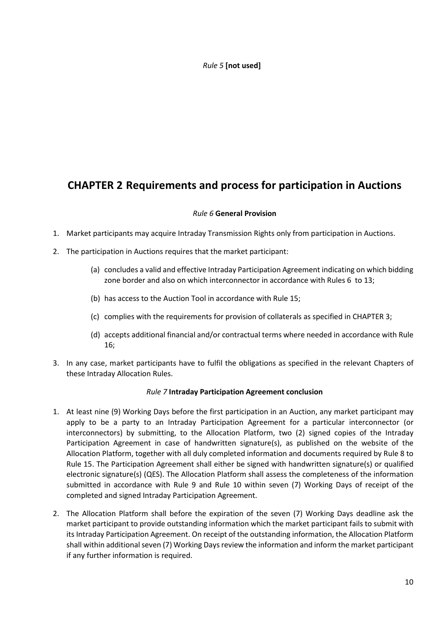## *Rule 5* **[not used]**

## <span id="page-9-1"></span><span id="page-9-0"></span>**CHAPTER 2 Requirements and process for participation in Auctions**

## *Rule 6* **General Provision**

- <span id="page-9-2"></span>1. Market participants may acquire Intraday Transmission Rights only from participation in Auctions.
- 2. The participation in Auctions requires that the market participant:
	- (a) concludes a valid and effective Intraday Participation Agreement indicating on which bidding zone border and also on which interconnector in accordance with Rules 6 to 13;
	- (b) has access to the Auction Tool in accordance with Rule 15;
	- (c) complies with the requirements for provision of collaterals as specified in CHAPTER 3;
	- (d) accepts additional financial and/or contractual terms where needed in accordance with Rule 16;
- 3. In any case, market participants have to fulfil the obligations as specified in the relevant Chapters of these Intraday Allocation Rules.

## *Rule 7* **Intraday Participation Agreement conclusion**

- <span id="page-9-3"></span>1. At least nine (9) Working Days before the first participation in an Auction, any market participant may apply to be a party to an Intraday Participation Agreement for a particular interconnector (or interconnectors) by submitting, to the Allocation Platform, two (2) signed copies of the Intraday Participation Agreement in case of handwritten signature(s), as published on the website of the Allocation Platform, together with all duly completed information and documents required by Rule 8 to Rule 15. The Participation Agreement shall either be signed with handwritten signature(s) or qualified electronic signature(s) (QES). The Allocation Platform shall assess the completeness of the information submitted in accordance with Rule 9 and Rule 10 within seven (7) Working Days of receipt of the completed and signed Intraday Participation Agreement.
- 2. The Allocation Platform shall before the expiration of the seven (7) Working Days deadline ask the market participant to provide outstanding information which the market participant fails to submit with its Intraday Participation Agreement. On receipt of the outstanding information, the Allocation Platform shall within additional seven (7) Working Days review the information and inform the market participant if any further information is required.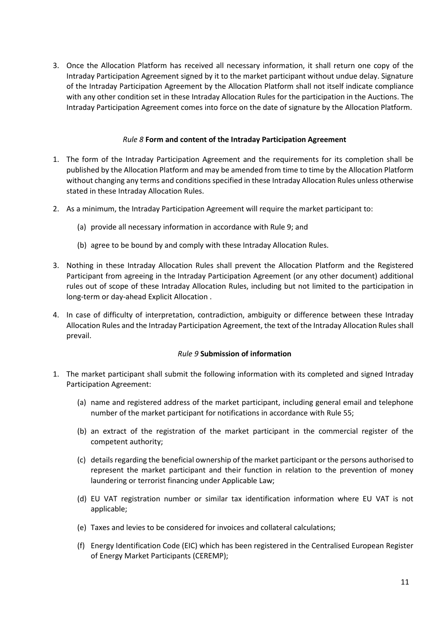3. Once the Allocation Platform has received all necessary information, it shall return one copy of the Intraday Participation Agreement signed by it to the market participant without undue delay. Signature of the Intraday Participation Agreement by the Allocation Platform shall not itself indicate compliance with any other condition set in these Intraday Allocation Rules for the participation in the Auctions. The Intraday Participation Agreement comes into force on the date of signature by the Allocation Platform.

## *Rule 8* **Form and content of the Intraday Participation Agreement**

- <span id="page-10-0"></span>1. The form of the Intraday Participation Agreement and the requirements for its completion shall be published by the Allocation Platform and may be amended from time to time by the Allocation Platform without changing any terms and conditions specified in these Intraday Allocation Rules unless otherwise stated in these Intraday Allocation Rules.
- 2. As a minimum, the Intraday Participation Agreement will require the market participant to:
	- (a) provide all necessary information in accordance with Rule 9; and
	- (b) agree to be bound by and comply with these Intraday Allocation Rules.
- 3. Nothing in these Intraday Allocation Rules shall prevent the Allocation Platform and the Registered Participant from agreeing in the Intraday Participation Agreement (or any other document) additional rules out of scope of these Intraday Allocation Rules, including but not limited to the participation in long-term or day-ahead Explicit Allocation .
- 4. In case of difficulty of interpretation, contradiction, ambiguity or difference between these Intraday Allocation Rules and the Intraday Participation Agreement, the text of the Intraday Allocation Rules shall prevail.

## *Rule 9* **Submission of information**

- <span id="page-10-1"></span>1. The market participant shall submit the following information with its completed and signed Intraday Participation Agreement:
	- (a) name and registered address of the market participant, including general email and telephone number of the market participant for notifications in accordance with Rule 55;
	- (b) an extract of the registration of the market participant in the commercial register of the competent authority;
	- (c) details regarding the beneficial ownership of the market participant or the persons authorised to represent the market participant and their function in relation to the prevention of money laundering or terrorist financing under Applicable Law;
	- (d) EU VAT registration number or similar tax identification information where EU VAT is not applicable;
	- (e) Taxes and levies to be considered for invoices and collateral calculations;
	- (f) Energy Identification Code (EIC) which has been registered in the Centralised European Register of Energy Market Participants (CEREMP);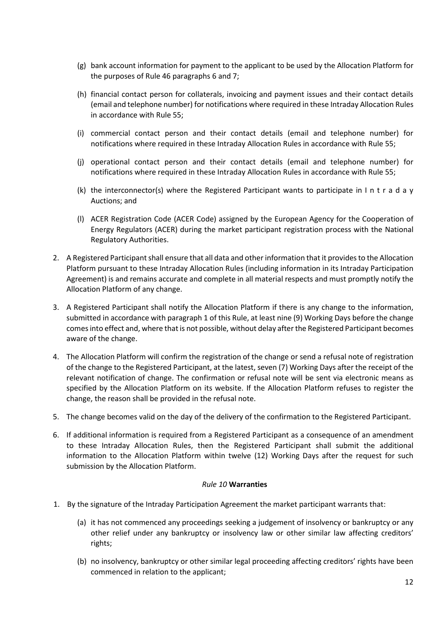- (g) bank account information for payment to the applicant to be used by the Allocation Platform for the purposes of Rule 46 paragraphs 6 and 7;
- (h) financial contact person for collaterals, invoicing and payment issues and their contact details (email and telephone number) for notifications where required in these Intraday Allocation Rules in accordance with Rule 55;
- (i) commercial contact person and their contact details (email and telephone number) for notifications where required in these Intraday Allocation Rules in accordance with Rule 55;
- (j) operational contact person and their contact details (email and telephone number) for notifications where required in these Intraday Allocation Rules in accordance with Rule 55;
- (k) the interconnector(s) where the Registered Participant wants to participate in I n t r a d a y Auctions; and
- (l) ACER Registration Code (ACER Code) assigned by the European Agency for the Cooperation of Energy Regulators (ACER) during the market participant registration process with the National Regulatory Authorities.
- 2. A Registered Participant shall ensure that all data and other information that it provides to the Allocation Platform pursuant to these Intraday Allocation Rules (including information in its Intraday Participation Agreement) is and remains accurate and complete in all material respects and must promptly notify the Allocation Platform of any change.
- 3. A Registered Participant shall notify the Allocation Platform if there is any change to the information, submitted in accordance with paragraph 1 of this Rule, at least nine (9) Working Days before the change comes into effect and, where that is not possible, without delay after the Registered Participant becomes aware of the change.
- 4. The Allocation Platform will confirm the registration of the change or send a refusal note of registration of the change to the Registered Participant, at the latest, seven (7) Working Days after the receipt of the relevant notification of change. The confirmation or refusal note will be sent via electronic means as specified by the Allocation Platform on its website. If the Allocation Platform refuses to register the change, the reason shall be provided in the refusal note.
- 5. The change becomes valid on the day of the delivery of the confirmation to the Registered Participant.
- 6. If additional information is required from a Registered Participant as a consequence of an amendment to these Intraday Allocation Rules, then the Registered Participant shall submit the additional information to the Allocation Platform within twelve (12) Working Days after the request for such submission by the Allocation Platform.

## *Rule 10* **Warranties**

- <span id="page-11-0"></span>1. By the signature of the Intraday Participation Agreement the market participant warrants that:
	- (a) it has not commenced any proceedings seeking a judgement of insolvency or bankruptcy or any other relief under any bankruptcy or insolvency law or other similar law affecting creditors' rights;
	- (b) no insolvency, bankruptcy or other similar legal proceeding affecting creditors' rights have been commenced in relation to the applicant;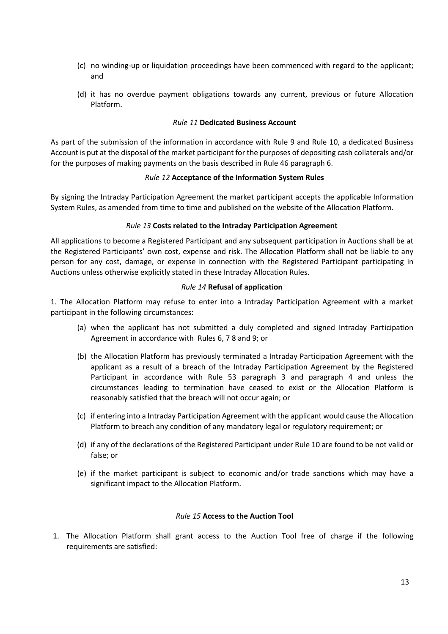- (c) no winding-up or liquidation proceedings have been commenced with regard to the applicant; and
- (d) it has no overdue payment obligations towards any current, previous or future Allocation Platform.

#### *Rule 11* **Dedicated Business Account**

<span id="page-12-0"></span>As part of the submission of the information in accordance with Rule 9 and Rule 10, a dedicated Business Account is put at the disposal of the market participant for the purposes of depositing cash collaterals and/or for the purposes of making payments on the basis described in Rule 46 paragraph 6.

#### *Rule 12* **Acceptance of the Information System Rules**

<span id="page-12-1"></span>By signing the Intraday Participation Agreement the market participant accepts the applicable Information System Rules, as amended from time to time and published on the website of the Allocation Platform.

#### *Rule 13* **Costs related to the Intraday Participation Agreement**

<span id="page-12-2"></span>All applications to become a Registered Participant and any subsequent participation in Auctions shall be at the Registered Participants' own cost, expense and risk. The Allocation Platform shall not be liable to any person for any cost, damage, or expense in connection with the Registered Participant participating in Auctions unless otherwise explicitly stated in these Intraday Allocation Rules.

#### *Rule 14* **Refusal of application**

<span id="page-12-3"></span>1. The Allocation Platform may refuse to enter into a Intraday Participation Agreement with a market participant in the following circumstances:

- (a) when the applicant has not submitted a duly completed and signed Intraday Participation Agreement in accordance with Rules 6, 7 8 and 9; or
- (b) the Allocation Platform has previously terminated a Intraday Participation Agreement with the applicant as a result of a breach of the Intraday Participation Agreement by the Registered Participant in accordance with Rule 53 paragraph 3 and paragraph 4 and unless the circumstances leading to termination have ceased to exist or the Allocation Platform is reasonably satisfied that the breach will not occur again; or
- (c) if entering into a Intraday Participation Agreement with the applicant would cause the Allocation Platform to breach any condition of any mandatory legal or regulatory requirement; or
- (d) if any of the declarations of the Registered Participant under Rule 10 are found to be not valid or false; or
- (e) if the market participant is subject to economic and/or trade sanctions which may have a significant impact to the Allocation Platform.

#### *Rule 15* **Access to the Auction Tool**

<span id="page-12-4"></span>1. The Allocation Platform shall grant access to the Auction Tool free of charge if the following requirements are satisfied: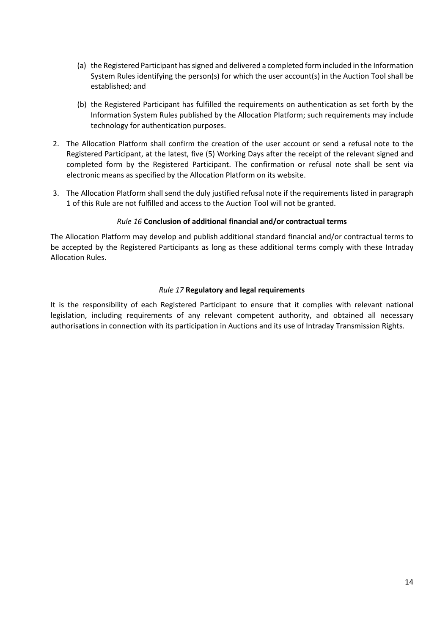- (a) the Registered Participant has signed and delivered a completed form included in the Information System Rules identifying the person(s) for which the user account(s) in the Auction Tool shall be established; and
- (b) the Registered Participant has fulfilled the requirements on authentication as set forth by the Information System Rules published by the Allocation Platform; such requirements may include technology for authentication purposes.
- 2. The Allocation Platform shall confirm the creation of the user account or send a refusal note to the Registered Participant, at the latest, five (5) Working Days after the receipt of the relevant signed and completed form by the Registered Participant. The confirmation or refusal note shall be sent via electronic means as specified by the Allocation Platform on its website.
- 3. The Allocation Platform shall send the duly justified refusal note if the requirements listed in paragraph 1 of this Rule are not fulfilled and access to the Auction Tool will not be granted.

## *Rule 16* **Conclusion of additional financial and/or contractual terms**

<span id="page-13-0"></span>The Allocation Platform may develop and publish additional standard financial and/or contractual terms to be accepted by the Registered Participants as long as these additional terms comply with these Intraday Allocation Rules.

## *Rule 17* **Regulatory and legal requirements**

<span id="page-13-1"></span>It is the responsibility of each Registered Participant to ensure that it complies with relevant national legislation, including requirements of any relevant competent authority, and obtained all necessary authorisations in connection with its participation in Auctions and its use of Intraday Transmission Rights.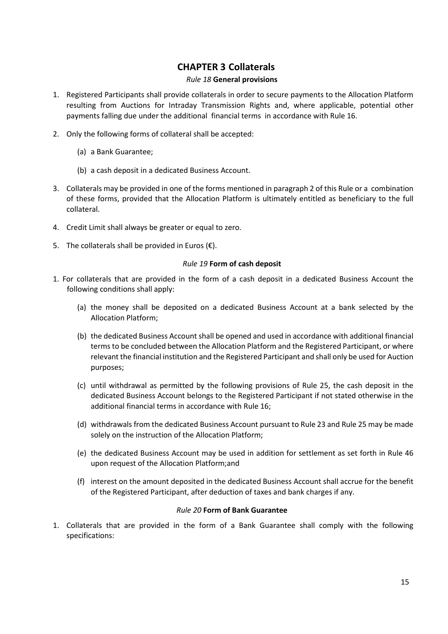## **CHAPTER 3 Collaterals**

## *Rule 18* **General provisions**

- <span id="page-14-1"></span><span id="page-14-0"></span>1. Registered Participants shall provide collaterals in order to secure payments to the Allocation Platform resulting from Auctions for Intraday Transmission Rights and, where applicable, potential other payments falling due under the additional financial terms in accordance with Rule 16.
- 2. Only the following forms of collateral shall be accepted:
	- (a) a Bank Guarantee;
	- (b) a cash deposit in a dedicated Business Account.
- 3. Collaterals may be provided in one of the forms mentioned in paragraph 2 of this Rule or a combination of these forms, provided that the Allocation Platform is ultimately entitled as beneficiary to the full collateral.
- 4. Credit Limit shall always be greater or equal to zero.
- 5. The collaterals shall be provided in Euros  $(\epsilon)$ .

## *Rule 19* **Form of cash deposit**

- <span id="page-14-2"></span>1. For collaterals that are provided in the form of a cash deposit in a dedicated Business Account the following conditions shall apply:
	- (a) the money shall be deposited on a dedicated Business Account at a bank selected by the Allocation Platform;
	- (b) the dedicated Business Account shall be opened and used in accordance with additional financial terms to be concluded between the Allocation Platform and the Registered Participant, or where relevant the financial institution and the Registered Participant and shall only be used for Auction purposes;
	- (c) until withdrawal as permitted by the following provisions of Rule 25, the cash deposit in the dedicated Business Account belongs to the Registered Participant if not stated otherwise in the additional financial terms in accordance with Rule 16;
	- (d) withdrawals from the dedicated Business Account pursuant to Rule 23 and Rule 25 may be made solely on the instruction of the Allocation Platform;
	- (e) the dedicated Business Account may be used in addition for settlement as set forth in Rule 46 upon request of the Allocation Platform;and
	- (f) interest on the amount deposited in the dedicated Business Account shall accrue for the benefit of the Registered Participant, after deduction of taxes and bank charges if any.

## *Rule 20* **Form of Bank Guarantee**

<span id="page-14-3"></span>1. Collaterals that are provided in the form of a Bank Guarantee shall comply with the following specifications: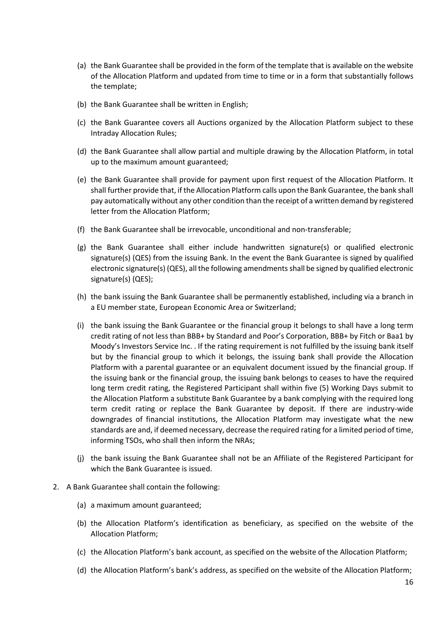- (a) the Bank Guarantee shall be provided in the form of the template that is available on the website of the Allocation Platform and updated from time to time or in a form that substantially follows the template;
- (b) the Bank Guarantee shall be written in English;
- (c) the Bank Guarantee covers all Auctions organized by the Allocation Platform subject to these Intraday Allocation Rules;
- (d) the Bank Guarantee shall allow partial and multiple drawing by the Allocation Platform, in total up to the maximum amount guaranteed;
- (e) the Bank Guarantee shall provide for payment upon first request of the Allocation Platform. It shall further provide that, if the Allocation Platform calls upon the Bank Guarantee, the bank shall pay automatically without any other condition than the receipt of a written demand by registered letter from the Allocation Platform;
- (f) the Bank Guarantee shall be irrevocable, unconditional and non-transferable;
- (g) the Bank Guarantee shall either include handwritten signature(s) or qualified electronic signature(s) (QES) from the issuing Bank. In the event the Bank Guarantee is signed by qualified electronic signature(s) (QES), all the following amendments shall be signed by qualified electronic signature(s) (QES);
- (h) the bank issuing the Bank Guarantee shall be permanently established, including via a branch in a EU member state, European Economic Area or Switzerland;
- (i) the bank issuing the Bank Guarantee or the financial group it belongs to shall have a long term credit rating of not less than BBB+ by Standard and Poor's Corporation, BBB+ by Fitch or Baa1 by Moody's Investors Service Inc. . If the rating requirement is not fulfilled by the issuing bank itself but by the financial group to which it belongs, the issuing bank shall provide the Allocation Platform with a parental guarantee or an equivalent document issued by the financial group. If the issuing bank or the financial group, the issuing bank belongs to ceases to have the required long term credit rating, the Registered Participant shall within five (5) Working Days submit to the Allocation Platform a substitute Bank Guarantee by a bank complying with the required long term credit rating or replace the Bank Guarantee by deposit. If there are industry-wide downgrades of financial institutions, the Allocation Platform may investigate what the new standards are and, if deemed necessary, decrease the required rating for a limited period of time, informing TSOs, who shall then inform the NRAs;
- (j) the bank issuing the Bank Guarantee shall not be an Affiliate of the Registered Participant for which the Bank Guarantee is issued.
- 2. A Bank Guarantee shall contain the following:
	- (a) a maximum amount guaranteed;
	- (b) the Allocation Platform's identification as beneficiary, as specified on the website of the Allocation Platform;
	- (c) the Allocation Platform's bank account, as specified on the website of the Allocation Platform;
	- (d) the Allocation Platform's bank's address, as specified on the website of the Allocation Platform;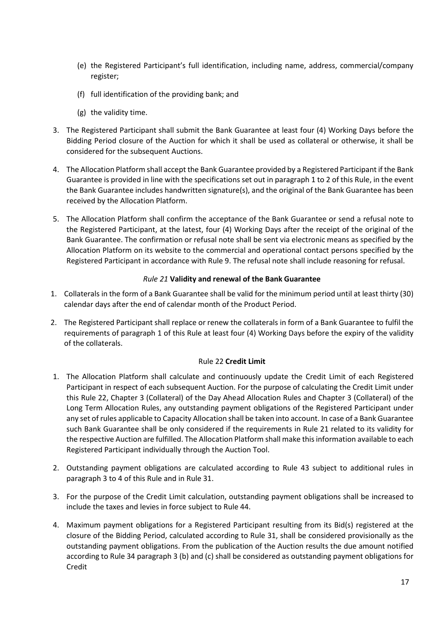- (e) the Registered Participant's full identification, including name, address, commercial/company register;
- (f) full identification of the providing bank; and
- (g) the validity time.
- 3. The Registered Participant shall submit the Bank Guarantee at least four (4) Working Days before the Bidding Period closure of the Auction for which it shall be used as collateral or otherwise, it shall be considered for the subsequent Auctions.
- 4. The Allocation Platform shall accept the Bank Guarantee provided by a Registered Participant if the Bank Guarantee is provided in line with the specifications set out in paragraph 1 to 2 of this Rule, in the event the Bank Guarantee includes handwritten signature(s), and the original of the Bank Guarantee has been received by the Allocation Platform.
- 5. The Allocation Platform shall confirm the acceptance of the Bank Guarantee or send a refusal note to the Registered Participant, at the latest, four (4) Working Days after the receipt of the original of the Bank Guarantee. The confirmation or refusal note shall be sent via electronic means as specified by the Allocation Platform on its website to the commercial and operational contact persons specified by the Registered Participant in accordance with Rule 9. The refusal note shall include reasoning for refusal.

## *Rule 21* **Validity and renewal of the Bank Guarantee**

- <span id="page-16-0"></span>1. Collaterals in the form of a Bank Guarantee shall be valid for the minimum period until at least thirty (30) calendar days after the end of calendar month of the Product Period.
- 2. The Registered Participant shall replace or renew the collaterals in form of a Bank Guarantee to fulfil the requirements of paragraph 1 of this Rule at least four (4) Working Days before the expiry of the validity of the collaterals.

## Rule 22 **Credit Limit**

- <span id="page-16-1"></span>1. The Allocation Platform shall calculate and continuously update the Credit Limit of each Registered Participant in respect of each subsequent Auction. For the purpose of calculating the Credit Limit under this Rule 22, Chapter 3 (Collateral) of the Day Ahead Allocation Rules and Chapter 3 (Collateral) of the Long Term Allocation Rules, any outstanding payment obligations of the Registered Participant under any set of rules applicable to Capacity Allocation shall be taken into account. In case of a Bank Guarantee such Bank Guarantee shall be only considered if the requirements in Rule 21 related to its validity for the respective Auction are fulfilled. The Allocation Platform shall make this information available to each Registered Participant individually through the Auction Tool.
- 2. Outstanding payment obligations are calculated according to Rule 43 subject to additional rules in paragraph 3 to 4 of this Rule and in Rule 31.
- 3. For the purpose of the Credit Limit calculation, outstanding payment obligations shall be increased to include the taxes and levies in force subject to Rule 44.
- 4. Maximum payment obligations for a Registered Participant resulting from its Bid(s) registered at the closure of the Bidding Period, calculated according to Rule 31, shall be considered provisionally as the outstanding payment obligations. From the publication of the Auction results the due amount notified according to Rule 34 paragraph 3 (b) and (c) shall be considered as outstanding payment obligations for Credit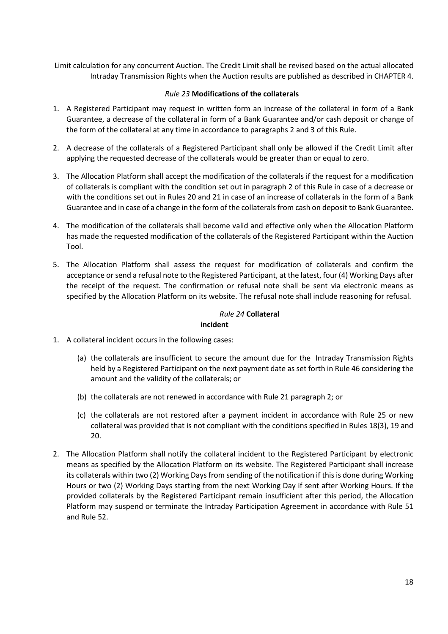Limit calculation for any concurrent Auction. The Credit Limit shall be revised based on the actual allocated Intraday Transmission Rights when the Auction results are published as described in CHAPTER 4.

## *Rule 23* **Modifications of the collaterals**

- <span id="page-17-0"></span>1. A Registered Participant may request in written form an increase of the collateral in form of a Bank Guarantee, a decrease of the collateral in form of a Bank Guarantee and/or cash deposit or change of the form of the collateral at any time in accordance to paragraphs 2 and 3 of this Rule.
- 2. A decrease of the collaterals of a Registered Participant shall only be allowed if the Credit Limit after applying the requested decrease of the collaterals would be greater than or equal to zero.
- 3. The Allocation Platform shall accept the modification of the collaterals if the request for a modification of collaterals is compliant with the condition set out in paragraph 2 of this Rule in case of a decrease or with the conditions set out in Rules 20 and 21 in case of an increase of collaterals in the form of a Bank Guarantee and in case of a change in the form of the collaterals from cash on deposit to Bank Guarantee.
- 4. The modification of the collaterals shall become valid and effective only when the Allocation Platform has made the requested modification of the collaterals of the Registered Participant within the Auction Tool.
- 5. The Allocation Platform shall assess the request for modification of collaterals and confirm the acceptance or send a refusal note to the Registered Participant, at the latest, four (4) Working Days after the receipt of the request. The confirmation or refusal note shall be sent via electronic means as specified by the Allocation Platform on its website. The refusal note shall include reasoning for refusal.

## *Rule 24* **Collateral**

## **incident**

- <span id="page-17-1"></span>1. A collateral incident occurs in the following cases:
	- (a) the collaterals are insufficient to secure the amount due for the Intraday Transmission Rights held by a Registered Participant on the next payment date as set forth in Rule 46 considering the amount and the validity of the collaterals; or
	- (b) the collaterals are not renewed in accordance with Rule 21 paragraph 2; or
	- (c) the collaterals are not restored after a payment incident in accordance with Rule 25 or new collateral was provided that is not compliant with the conditions specified in Rules 18(3), 19 and 20.
- 2. The Allocation Platform shall notify the collateral incident to the Registered Participant by electronic means as specified by the Allocation Platform on its website. The Registered Participant shall increase its collaterals within two (2) Working Days from sending of the notification if this is done during Working Hours or two (2) Working Days starting from the next Working Day if sent after Working Hours. If the provided collaterals by the Registered Participant remain insufficient after this period, the Allocation Platform may suspend or terminate the Intraday Participation Agreement in accordance with Rule 51 and Rule 52.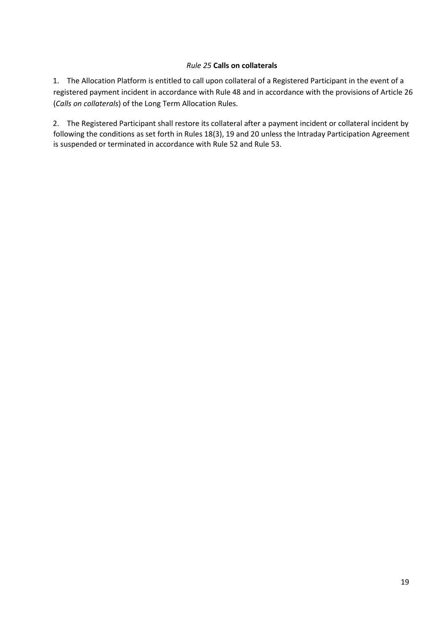## *Rule 25* **Calls on collaterals**

<span id="page-18-0"></span>1. The Allocation Platform is entitled to call upon collateral of a Registered Participant in the event of a registered payment incident in accordance with Rule 48 and in accordance with the provisions of Article 26 (*Calls on collaterals*) of the Long Term Allocation Rules.

2. The Registered Participant shall restore its collateral after a payment incident or collateral incident by following the conditions as set forth in Rules 18(3), 19 and 20 unless the Intraday Participation Agreement is suspended or terminated in accordance with Rule 52 and Rule 53.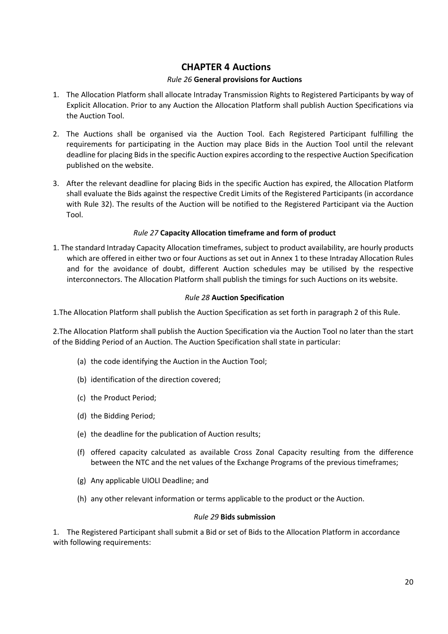## **CHAPTER 4 Auctions**

## *Rule 26* **General provisions for Auctions**

- <span id="page-19-1"></span><span id="page-19-0"></span>1. The Allocation Platform shall allocate Intraday Transmission Rights to Registered Participants by way of Explicit Allocation. Prior to any Auction the Allocation Platform shall publish Auction Specifications via the Auction Tool.
- 2. The Auctions shall be organised via the Auction Tool. Each Registered Participant fulfilling the requirements for participating in the Auction may place Bids in the Auction Tool until the relevant deadline for placing Bids in the specific Auction expires according to the respective Auction Specification published on the website.
- 3. After the relevant deadline for placing Bids in the specific Auction has expired, the Allocation Platform shall evaluate the Bids against the respective Credit Limits of the Registered Participants (in accordance with Rule 32). The results of the Auction will be notified to the Registered Participant via the Auction Tool.

## *Rule 27* **Capacity Allocation timeframe and form of product**

<span id="page-19-2"></span>1. The standard Intraday Capacity Allocation timeframes, subject to product availability, are hourly products which are offered in either two or four Auctions as set out in Annex 1 to these Intraday Allocation Rules and for the avoidance of doubt, different Auction schedules may be utilised by the respective interconnectors. The Allocation Platform shall publish the timings for such Auctions on its website.

## *Rule 28* **Auction Specification**

<span id="page-19-3"></span>1.The Allocation Platform shall publish the Auction Specification as set forth in paragraph 2 of this Rule.

2.The Allocation Platform shall publish the Auction Specification via the Auction Tool no later than the start of the Bidding Period of an Auction. The Auction Specification shall state in particular:

- (a) the code identifying the Auction in the Auction Tool;
- (b) identification of the direction covered;
- (c) the Product Period;
- (d) the Bidding Period;
- (e) the deadline for the publication of Auction results;
- (f) offered capacity calculated as available Cross Zonal Capacity resulting from the difference between the NTC and the net values of the Exchange Programs of the previous timeframes;
- (g) Any applicable UIOLI Deadline; and
- (h) any other relevant information or terms applicable to the product or the Auction.

## *Rule 29* **Bids submission**

<span id="page-19-4"></span>1. The Registered Participant shall submit a Bid or set of Bids to the Allocation Platform in accordance with following requirements: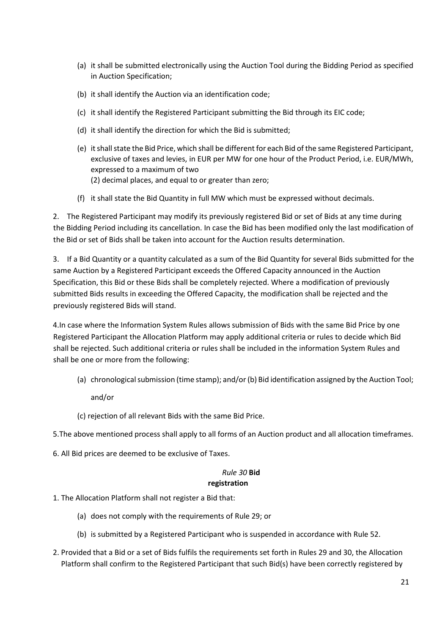- (a) it shall be submitted electronically using the Auction Tool during the Bidding Period as specified in Auction Specification;
- (b) it shall identify the Auction via an identification code;
- (c) it shall identify the Registered Participant submitting the Bid through its EIC code;
- (d) it shall identify the direction for which the Bid is submitted;
- (e) it shall state the Bid Price, which shall be different for each Bid of the same Registered Participant, exclusive of taxes and levies, in EUR per MW for one hour of the Product Period, i.e. EUR/MWh, expressed to a maximum of two (2) decimal places, and equal to or greater than zero;
- (f) it shall state the Bid Quantity in full MW which must be expressed without decimals.

2. The Registered Participant may modify its previously registered Bid or set of Bids at any time during the Bidding Period including its cancellation. In case the Bid has been modified only the last modification of the Bid or set of Bids shall be taken into account for the Auction results determination.

3. If a Bid Quantity or a quantity calculated as a sum of the Bid Quantity for several Bids submitted for the same Auction by a Registered Participant exceeds the Offered Capacity announced in the Auction Specification, this Bid or these Bids shall be completely rejected. Where a modification of previously submitted Bids results in exceeding the Offered Capacity, the modification shall be rejected and the previously registered Bids will stand.

4.In case where the Information System Rules allows submission of Bids with the same Bid Price by one Registered Participant the Allocation Platform may apply additional criteria or rules to decide which Bid shall be rejected. Such additional criteria or rules shall be included in the information System Rules and shall be one or more from the following:

(a) chronological submission (time stamp); and/or (b) Bid identification assigned by the Auction Tool;

and/or

- (c) rejection of all relevant Bids with the same Bid Price.
- 5.The above mentioned process shall apply to all forms of an Auction product and all allocation timeframes.
- <span id="page-20-0"></span>6. All Bid prices are deemed to be exclusive of Taxes.

## *Rule 30* **Bid registration**

- 1. The Allocation Platform shall not register a Bid that:
	- (a) does not comply with the requirements of Rule 29; or
	- (b) is submitted by a Registered Participant who is suspended in accordance with Rule 52.
- 2. Provided that a Bid or a set of Bids fulfils the requirements set forth in Rules 29 and 30, the Allocation Platform shall confirm to the Registered Participant that such Bid(s) have been correctly registered by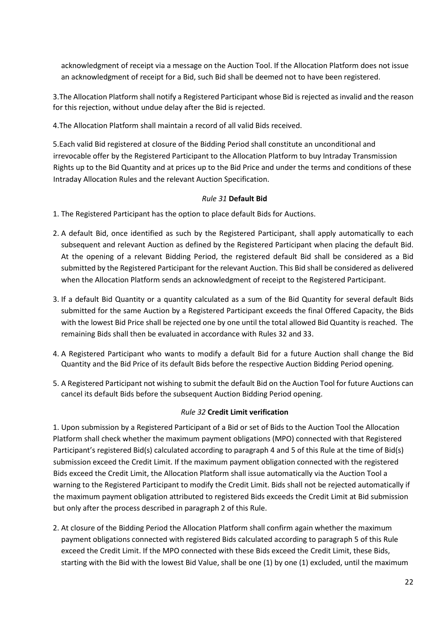acknowledgment of receipt via a message on the Auction Tool. If the Allocation Platform does not issue an acknowledgment of receipt for a Bid, such Bid shall be deemed not to have been registered.

3.The Allocation Platform shall notify a Registered Participant whose Bid is rejected as invalid and the reason for this rejection, without undue delay after the Bid is rejected.

4.The Allocation Platform shall maintain a record of all valid Bids received.

5.Each valid Bid registered at closure of the Bidding Period shall constitute an unconditional and irrevocable offer by the Registered Participant to the Allocation Platform to buy Intraday Transmission Rights up to the Bid Quantity and at prices up to the Bid Price and under the terms and conditions of these Intraday Allocation Rules and the relevant Auction Specification.

## *Rule 31* **Default Bid**

<span id="page-21-0"></span>1. The Registered Participant has the option to place default Bids for Auctions.

- 2. A default Bid, once identified as such by the Registered Participant, shall apply automatically to each subsequent and relevant Auction as defined by the Registered Participant when placing the default Bid. At the opening of a relevant Bidding Period, the registered default Bid shall be considered as a Bid submitted by the Registered Participant for the relevant Auction. This Bid shall be considered as delivered when the Allocation Platform sends an acknowledgment of receipt to the Registered Participant.
- 3. If a default Bid Quantity or a quantity calculated as a sum of the Bid Quantity for several default Bids submitted for the same Auction by a Registered Participant exceeds the final Offered Capacity, the Bids with the lowest Bid Price shall be rejected one by one until the total allowed Bid Quantity is reached. The remaining Bids shall then be evaluated in accordance with Rules 32 and 33.
- 4. A Registered Participant who wants to modify a default Bid for a future Auction shall change the Bid Quantity and the Bid Price of its default Bids before the respective Auction Bidding Period opening.
- 5. A Registered Participant not wishing to submit the default Bid on the Auction Tool for future Auctions can cancel its default Bids before the subsequent Auction Bidding Period opening.

## *Rule 32* **Credit Limit verification**

<span id="page-21-1"></span>1. Upon submission by a Registered Participant of a Bid or set of Bids to the Auction Tool the Allocation Platform shall check whether the maximum payment obligations (MPO) connected with that Registered Participant's registered Bid(s) calculated according to paragraph 4 and 5 of this Rule at the time of Bid(s) submission exceed the Credit Limit. If the maximum payment obligation connected with the registered Bids exceed the Credit Limit, the Allocation Platform shall issue automatically via the Auction Tool a warning to the Registered Participant to modify the Credit Limit. Bids shall not be rejected automatically if the maximum payment obligation attributed to registered Bids exceeds the Credit Limit at Bid submission but only after the process described in paragraph 2 of this Rule.

2. At closure of the Bidding Period the Allocation Platform shall confirm again whether the maximum payment obligations connected with registered Bids calculated according to paragraph 5 of this Rule exceed the Credit Limit. If the MPO connected with these Bids exceed the Credit Limit, these Bids, starting with the Bid with the lowest Bid Value, shall be one (1) by one (1) excluded, until the maximum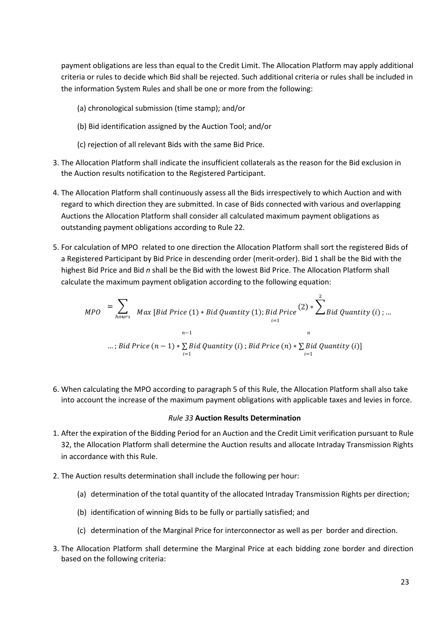payment obligations are less than equal to the Credit Limit. The Allocation Platform may apply additional criteria or rules to decide which Bid shall be rejected. Such additional criteria or rules shall be included in the information System Rules and shall be one or more from the following:

- (a) chronological submission (time stamp); and/or
- (b) Bid identification assigned by the Auction Tool; and/or
- (c) rejection of all relevant Bids with the same Bid Price.
- 3. The Allocation Platform shall indicate the insufficient collaterals as the reason for the Bid exclusion in the Auction results notification to the Registered Participant.
- 4. The Allocation Platform shall continuously assess all the Bids irrespectively to which Auction and with regard to which direction they are submitted. In case of Bids connected with various and overlapping Auctions the Allocation Platform shall consider all calculated maximum payment obligations as outstanding payment obligations according to Rule 22.
- 5. For calculation of MPO related to one direction the Allocation Platform shall sort the registered Bids of a Registered Participant by Bid Price in descending order (merit-order). Bid 1 shall be the Bid with the highest Bid Price and Bid *n* shall be the Bid with the lowest Bid Price. The Allocation Platform shall calculate the maximum payment obligation according to the following equation:

$$
MPO = \sum_{hours} Max [Bid Price (1) * Bid Quantity (1); Bid Price (2) * \sum_{i=1}^{2} Bid Quantity (i) ; ...
$$
  
...; Bid Price (n - 1) \*  $\sum_{i=1} Bid Quantity (i)$ ; Bid Price (n) \*  $\sum_{i=1}^{n} Bid Quantity (i)$  ]

6. When calculating the MPO according to paragraph 5 of this Rule, the Allocation Platform shall also take into account the increase of the maximum payment obligations with applicable taxes and levies in force.

#### *Rule 33* **Auction Results Determination**

- <span id="page-22-0"></span>1. After the expiration of the Bidding Period for an Auction and the Credit Limit verification pursuant to Rule 32, the Allocation Platform shall determine the Auction results and allocate Intraday Transmission Rights in accordance with this Rule.
- 2. The Auction results determination shall include the following per hour:
	- (a) determination of the total quantity of the allocated Intraday Transmission Rights per direction;
	- (b) identification of winning Bids to be fully or partially satisfied; and
	- (c) determination of the Marginal Price for interconnector as well as per border and direction.
- 3. The Allocation Platform shall determine the Marginal Price at each bidding zone border and direction based on the following criteria: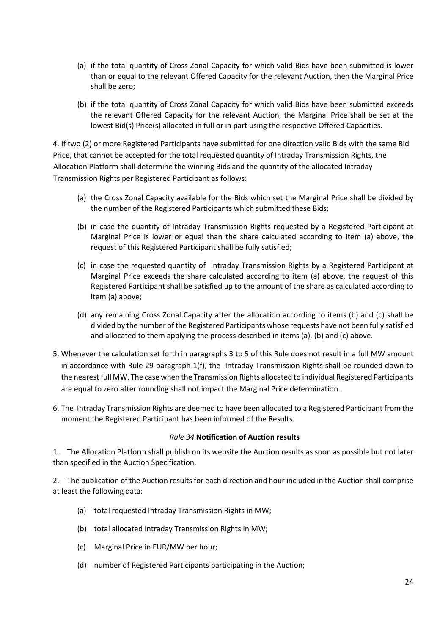- (a) if the total quantity of Cross Zonal Capacity for which valid Bids have been submitted is lower than or equal to the relevant Offered Capacity for the relevant Auction, then the Marginal Price shall be zero;
- (b) if the total quantity of Cross Zonal Capacity for which valid Bids have been submitted exceeds the relevant Offered Capacity for the relevant Auction, the Marginal Price shall be set at the lowest Bid(s) Price(s) allocated in full or in part using the respective Offered Capacities.

4. If two (2) or more Registered Participants have submitted for one direction valid Bids with the same Bid Price, that cannot be accepted for the total requested quantity of Intraday Transmission Rights, the Allocation Platform shall determine the winning Bids and the quantity of the allocated Intraday Transmission Rights per Registered Participant as follows:

- (a) the Cross Zonal Capacity available for the Bids which set the Marginal Price shall be divided by the number of the Registered Participants which submitted these Bids;
- (b) in case the quantity of Intraday Transmission Rights requested by a Registered Participant at Marginal Price is lower or equal than the share calculated according to item (a) above, the request of this Registered Participant shall be fully satisfied;
- (c) in case the requested quantity of Intraday Transmission Rights by a Registered Participant at Marginal Price exceeds the share calculated according to item (a) above, the request of this Registered Participant shall be satisfied up to the amount of the share as calculated according to item (a) above;
- (d) any remaining Cross Zonal Capacity after the allocation according to items (b) and (c) shall be divided by the number of the Registered Participants whose requests have not been fully satisfied and allocated to them applying the process described in items (a), (b) and (c) above.
- 5. Whenever the calculation set forth in paragraphs 3 to 5 of this Rule does not result in a full MW amount in accordance with Rule 29 paragraph 1(f), the Intraday Transmission Rights shall be rounded down to the nearest full MW. The case when the Transmission Rights allocated to individual Registered Participants are equal to zero after rounding shall not impact the Marginal Price determination.
- 6. The Intraday Transmission Rights are deemed to have been allocated to a Registered Participant from the moment the Registered Participant has been informed of the Results.

## *Rule 34* **Notification of Auction results**

<span id="page-23-0"></span>1. The Allocation Platform shall publish on its website the Auction results as soon as possible but not later than specified in the Auction Specification.

2. The publication of the Auction results for each direction and hour included in the Auction shall comprise at least the following data:

- (a) total requested Intraday Transmission Rights in MW;
- (b) total allocated Intraday Transmission Rights in MW;
- (c) Marginal Price in EUR/MW per hour;
- (d) number of Registered Participants participating in the Auction;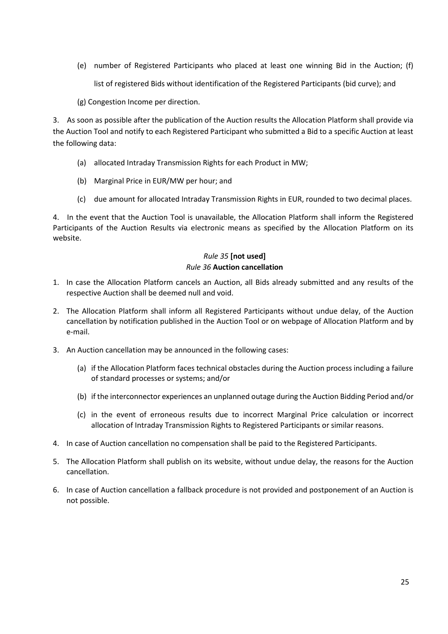(e) number of Registered Participants who placed at least one winning Bid in the Auction; (f)

list of registered Bids without identification of the Registered Participants (bid curve); and

(g) Congestion Income per direction.

3. As soon as possible after the publication of the Auction results the Allocation Platform shall provide via the Auction Tool and notify to each Registered Participant who submitted a Bid to a specific Auction at least the following data:

- (a) allocated Intraday Transmission Rights for each Product in MW;
- (b) Marginal Price in EUR/MW per hour; and
- (c) due amount for allocated Intraday Transmission Rights in EUR, rounded to two decimal places.

4. In the event that the Auction Tool is unavailable, the Allocation Platform shall inform the Registered Participants of the Auction Results via electronic means as specified by the Allocation Platform on its website.

## *Rule 35* **[not used]**  *Rule 36* **Auction cancellation**

- <span id="page-24-1"></span><span id="page-24-0"></span>1. In case the Allocation Platform cancels an Auction, all Bids already submitted and any results of the respective Auction shall be deemed null and void.
- 2. The Allocation Platform shall inform all Registered Participants without undue delay, of the Auction cancellation by notification published in the Auction Tool or on webpage of Allocation Platform and by e-mail.
- 3. An Auction cancellation may be announced in the following cases:
	- (a) if the Allocation Platform faces technical obstacles during the Auction process including a failure of standard processes or systems; and/or
	- (b) if the interconnector experiences an unplanned outage during the Auction Bidding Period and/or
	- (c) in the event of erroneous results due to incorrect Marginal Price calculation or incorrect allocation of Intraday Transmission Rights to Registered Participants or similar reasons.
- 4. In case of Auction cancellation no compensation shall be paid to the Registered Participants.
- 5. The Allocation Platform shall publish on its website, without undue delay, the reasons for the Auction cancellation.
- 6. In case of Auction cancellation a fallback procedure is not provided and postponement of an Auction is not possible.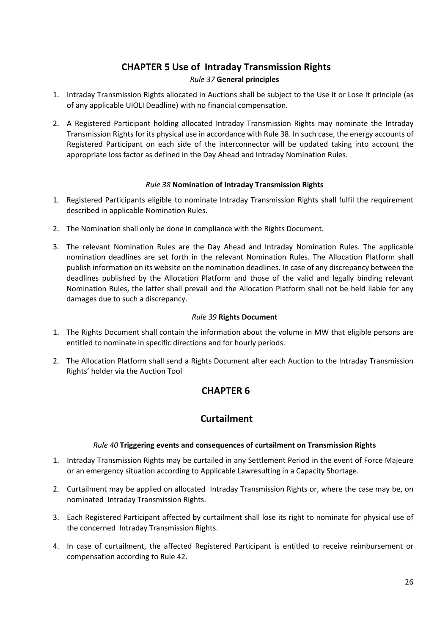## **CHAPTER 5 Use of Intraday Transmission Rights**  *Rule 37* **General principles**

- <span id="page-25-1"></span><span id="page-25-0"></span>1. Intraday Transmission Rights allocated in Auctions shall be subject to the Use it or Lose It principle (as of any applicable UIOLI Deadline) with no financial compensation.
- 2. A Registered Participant holding allocated Intraday Transmission Rights may nominate the Intraday Transmission Rights for its physical use in accordance with Rule 38. In such case, the energy accounts of Registered Participant on each side of the interconnector will be updated taking into account the appropriate loss factor as defined in the Day Ahead and Intraday Nomination Rules.

## *Rule 38* **Nomination of Intraday Transmission Rights**

- <span id="page-25-2"></span>1. Registered Participants eligible to nominate Intraday Transmission Rights shall fulfil the requirement described in applicable Nomination Rules.
- 2. The Nomination shall only be done in compliance with the Rights Document.
- 3. The relevant Nomination Rules are the Day Ahead and Intraday Nomination Rules. The applicable nomination deadlines are set forth in the relevant Nomination Rules. The Allocation Platform shall publish information on its website on the nomination deadlines. In case of any discrepancy between the deadlines published by the Allocation Platform and those of the valid and legally binding relevant Nomination Rules, the latter shall prevail and the Allocation Platform shall not be held liable for any damages due to such a discrepancy.

## *Rule 39* **Rights Document**

- <span id="page-25-3"></span>1. The Rights Document shall contain the information about the volume in MW that eligible persons are entitled to nominate in specific directions and for hourly periods.
- <span id="page-25-4"></span>2. The Allocation Platform shall send a Rights Document after each Auction to the Intraday Transmission Rights' holder via the Auction Tool

## **CHAPTER 6**

## **Curtailment**

## *Rule 40* **Triggering events and consequences of curtailment on Transmission Rights**

- <span id="page-25-5"></span>1. Intraday Transmission Rights may be curtailed in any Settlement Period in the event of Force Majeure or an emergency situation according to Applicable Lawresulting in a Capacity Shortage.
- 2. Curtailment may be applied on allocated Intraday Transmission Rights or, where the case may be, on nominated Intraday Transmission Rights.
- 3. Each Registered Participant affected by curtailment shall lose its right to nominate for physical use of the concerned Intraday Transmission Rights.
- 4. In case of curtailment, the affected Registered Participant is entitled to receive reimbursement or compensation according to Rule 42.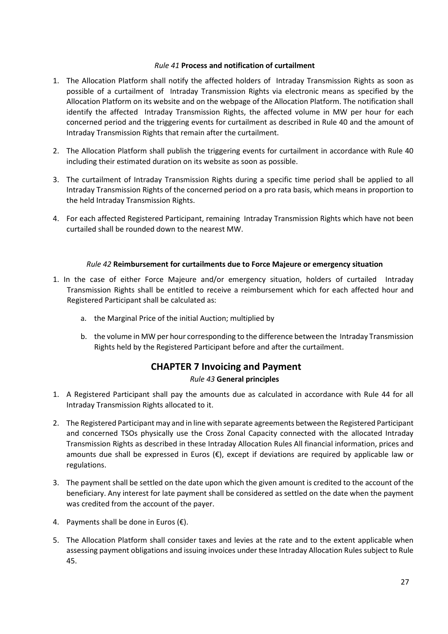## *Rule 41* **Process and notification of curtailment**

- <span id="page-26-0"></span>1. The Allocation Platform shall notify the affected holders of Intraday Transmission Rights as soon as possible of a curtailment of Intraday Transmission Rights via electronic means as specified by the Allocation Platform on its website and on the webpage of the Allocation Platform. The notification shall identify the affected Intraday Transmission Rights, the affected volume in MW per hour for each concerned period and the triggering events for curtailment as described in Rule 40 and the amount of Intraday Transmission Rights that remain after the curtailment.
- 2. The Allocation Platform shall publish the triggering events for curtailment in accordance with Rule 40 including their estimated duration on its website as soon as possible.
- 3. The curtailment of Intraday Transmission Rights during a specific time period shall be applied to all Intraday Transmission Rights of the concerned period on a pro rata basis, which means in proportion to the held Intraday Transmission Rights.
- 4. For each affected Registered Participant, remaining Intraday Transmission Rights which have not been curtailed shall be rounded down to the nearest MW.

## *Rule 42* **Reimbursement for curtailments due to Force Majeure or emergency situation**

- <span id="page-26-1"></span>1. In the case of either Force Majeure and/or emergency situation, holders of curtailed Intraday Transmission Rights shall be entitled to receive a reimbursement which for each affected hour and Registered Participant shall be calculated as:
	- a. the Marginal Price of the initial Auction; multiplied by
	- b. the volume in MW per hour corresponding to the difference between the Intraday Transmission Rights held by the Registered Participant before and after the curtailment.

## **CHAPTER 7 Invoicing and Payment**

## *Rule 43* **General principles**

- <span id="page-26-3"></span><span id="page-26-2"></span>1. A Registered Participant shall pay the amounts due as calculated in accordance with Rule 44 for all Intraday Transmission Rights allocated to it.
- 2. The Registered Participant may and in line with separate agreements between the Registered Participant and concerned TSOs physically use the Cross Zonal Capacity connected with the allocated Intraday Transmission Rights as described in these Intraday Allocation Rules All financial information, prices and amounts due shall be expressed in Euros (€), except if deviations are required by applicable law or regulations.
- 3. The payment shall be settled on the date upon which the given amount is credited to the account of the beneficiary. Any interest for late payment shall be considered as settled on the date when the payment was credited from the account of the payer.
- 4. Payments shall be done in Euros  $(\epsilon)$ .
- 5. The Allocation Platform shall consider taxes and levies at the rate and to the extent applicable when assessing payment obligations and issuing invoices under these Intraday Allocation Rules subject to Rule 45.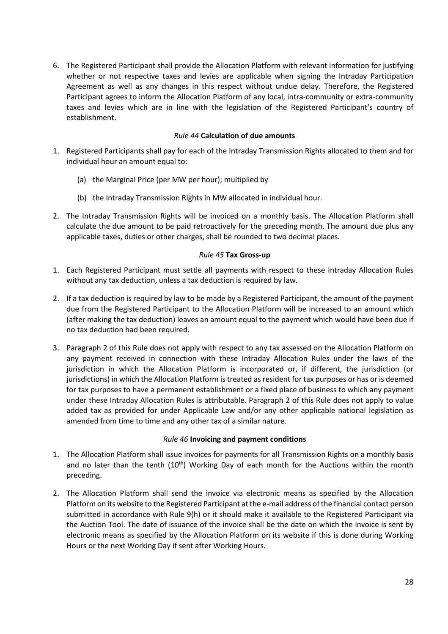6. The Registered Participant shall provide the Allocation Platform with relevant information for justifying whether or not respective taxes and levies are applicable when signing the Intraday Participation Agreement as well as any changes in this respect without undue delay. Therefore, the Registered Participant agrees to inform the Allocation Platform of any local, intra-community or extra-community taxes and levies which are in line with the legislation of the Registered Participant's country of establishment.

## *Rule 44* **Calculation of due amounts**

- <span id="page-27-0"></span>1. Registered Participants shall pay for each of the Intraday Transmission Rights allocated to them and for individual hour an amount equal to:
	- (a) the Marginal Price (per MW per hour); multiplied by
	- (b) the Intraday Transmission Rights in MW allocated in individual hour.
- 2. The Intraday Transmission Rights will be invoiced on a monthly basis. The Allocation Platform shall calculate the due amount to be paid retroactively for the preceding month. The amount due plus any applicable taxes, duties or other charges, shall be rounded to two decimal places.

## *Rule 45* **Tax Gross-up**

- <span id="page-27-1"></span>1. Each Registered Participant must settle all payments with respect to these Intraday Allocation Rules without any tax deduction, unless a tax deduction is required by law.
- 2. If a tax deduction is required by law to be made by a Registered Participant, the amount of the payment due from the Registered Participant to the Allocation Platform will be increased to an amount which (after making the tax deduction) leaves an amount equal to the payment which would have been due if no tax deduction had been required.
- 3. Paragraph 2 of this Rule does not apply with respect to any tax assessed on the Allocation Platform on any payment received in connection with these Intraday Allocation Rules under the laws of the jurisdiction in which the Allocation Platform is incorporated or, if different, the jurisdiction (or jurisdictions) in which the Allocation Platform is treated as resident for tax purposes or has or is deemed for tax purposes to have a permanent establishment or a fixed place of business to which any payment under these Intraday Allocation Rules is attributable. Paragraph 2 of this Rule does not apply to value added tax as provided for under Applicable Law and/or any other applicable national legislation as amended from time to time and any other tax of a similar nature.

## *Rule 46* **Invoicing and payment conditions**

- <span id="page-27-2"></span>1. The Allocation Platform shall issue invoices for payments for all Transmission Rights on a monthly basis and no later than the tenth  $(10<sup>th</sup>)$  Working Day of each month for the Auctions within the month preceding.
- 2. The Allocation Platform shall send the invoice via electronic means as specified by the Allocation Platform on its website to the Registered Participant at the e-mail address of the financial contact person submitted in accordance with Rule 9(h) or it should make it available to the Registered Participant via the Auction Tool. The date of issuance of the invoice shall be the date on which the invoice is sent by electronic means as specified by the Allocation Platform on its website if this is done during Working Hours or the next Working Day if sent after Working Hours.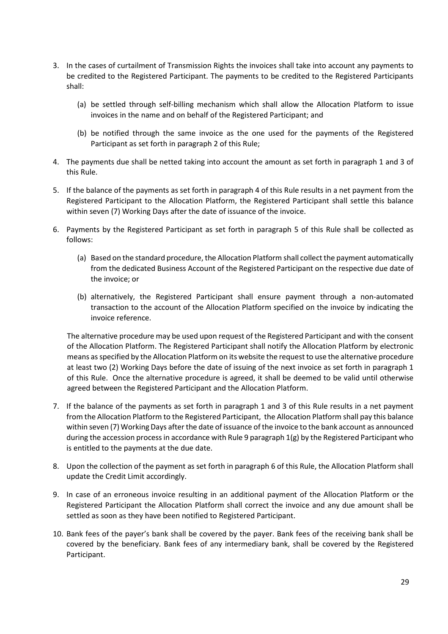- 3. In the cases of curtailment of Transmission Rights the invoices shall take into account any payments to be credited to the Registered Participant. The payments to be credited to the Registered Participants shall:
	- (a) be settled through self-billing mechanism which shall allow the Allocation Platform to issue invoices in the name and on behalf of the Registered Participant; and
	- (b) be notified through the same invoice as the one used for the payments of the Registered Participant as set forth in paragraph 2 of this Rule;
- 4. The payments due shall be netted taking into account the amount as set forth in paragraph 1 and 3 of this Rule.
- 5. If the balance of the payments as set forth in paragraph 4 of this Rule results in a net payment from the Registered Participant to the Allocation Platform, the Registered Participant shall settle this balance within seven (7) Working Days after the date of issuance of the invoice.
- 6. Payments by the Registered Participant as set forth in paragraph 5 of this Rule shall be collected as follows:
	- (a) Based on the standard procedure, the Allocation Platform shall collect the payment automatically from the dedicated Business Account of the Registered Participant on the respective due date of the invoice; or
	- (b) alternatively, the Registered Participant shall ensure payment through a non-automated transaction to the account of the Allocation Platform specified on the invoice by indicating the invoice reference.

The alternative procedure may be used upon request of the Registered Participant and with the consent of the Allocation Platform. The Registered Participant shall notify the Allocation Platform by electronic means as specified by the Allocation Platform on its website the request to use the alternative procedure at least two (2) Working Days before the date of issuing of the next invoice as set forth in paragraph 1 of this Rule. Once the alternative procedure is agreed, it shall be deemed to be valid until otherwise agreed between the Registered Participant and the Allocation Platform.

- 7. If the balance of the payments as set forth in paragraph 1 and 3 of this Rule results in a net payment from the Allocation Platform to the Registered Participant, the Allocation Platform shall pay this balance within seven (7) Working Days after the date of issuance of the invoice to the bank account as announced during the accession process in accordance with Rule 9 paragraph 1(g) by the Registered Participant who is entitled to the payments at the due date.
- 8. Upon the collection of the payment as set forth in paragraph 6 of this Rule, the Allocation Platform shall update the Credit Limit accordingly.
- 9. In case of an erroneous invoice resulting in an additional payment of the Allocation Platform or the Registered Participant the Allocation Platform shall correct the invoice and any due amount shall be settled as soon as they have been notified to Registered Participant.
- 10. Bank fees of the payer's bank shall be covered by the payer. Bank fees of the receiving bank shall be covered by the beneficiary. Bank fees of any intermediary bank, shall be covered by the Registered Participant.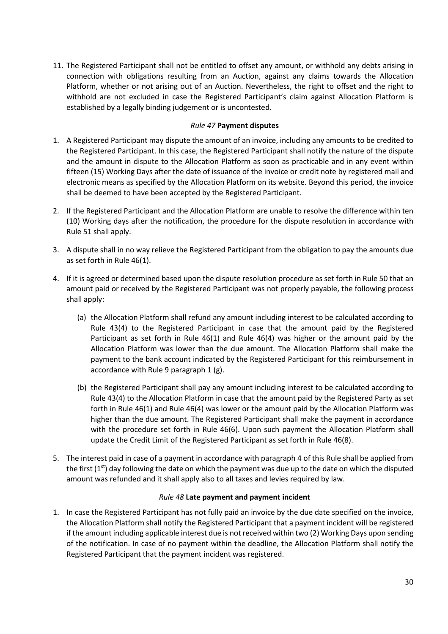11. The Registered Participant shall not be entitled to offset any amount, or withhold any debts arising in connection with obligations resulting from an Auction, against any claims towards the Allocation Platform, whether or not arising out of an Auction. Nevertheless, the right to offset and the right to withhold are not excluded in case the Registered Participant's claim against Allocation Platform is established by a legally binding judgement or is uncontested.

## *Rule 47* **Payment disputes**

- <span id="page-29-0"></span>1. A Registered Participant may dispute the amount of an invoice, including any amounts to be credited to the Registered Participant. In this case, the Registered Participant shall notify the nature of the dispute and the amount in dispute to the Allocation Platform as soon as practicable and in any event within fifteen (15) Working Days after the date of issuance of the invoice or credit note by registered mail and electronic means as specified by the Allocation Platform on its website. Beyond this period, the invoice shall be deemed to have been accepted by the Registered Participant.
- 2. If the Registered Participant and the Allocation Platform are unable to resolve the difference within ten (10) Working days after the notification, the procedure for the dispute resolution in accordance with Rule 51 shall apply.
- 3. A dispute shall in no way relieve the Registered Participant from the obligation to pay the amounts due as set forth in Rule 46(1).
- 4. If it is agreed or determined based upon the dispute resolution procedure as set forth in Rule 50 that an amount paid or received by the Registered Participant was not properly payable, the following process shall apply:
	- (a) the Allocation Platform shall refund any amount including interest to be calculated according to Rule 43(4) to the Registered Participant in case that the amount paid by the Registered Participant as set forth in Rule 46(1) and Rule 46(4) was higher or the amount paid by the Allocation Platform was lower than the due amount. The Allocation Platform shall make the payment to the bank account indicated by the Registered Participant for this reimbursement in accordance with Rule 9 paragraph 1 (g).
	- (b) the Registered Participant shall pay any amount including interest to be calculated according to Rule 43(4) to the Allocation Platform in case that the amount paid by the Registered Party as set forth in Rule 46(1) and Rule 46(4) was lower or the amount paid by the Allocation Platform was higher than the due amount. The Registered Participant shall make the payment in accordance with the procedure set forth in Rule 46(6). Upon such payment the Allocation Platform shall update the Credit Limit of the Registered Participant as set forth in Rule 46(8).
- 5. The interest paid in case of a payment in accordance with paragraph 4 of this Rule shall be applied from the first  $(1^{st})$  day following the date on which the payment was due up to the date on which the disputed amount was refunded and it shall apply also to all taxes and levies required by law.

## *Rule 48* **Late payment and payment incident**

<span id="page-29-1"></span>1. In case the Registered Participant has not fully paid an invoice by the due date specified on the invoice, the Allocation Platform shall notify the Registered Participant that a payment incident will be registered if the amount including applicable interest due is not received within two (2) Working Days upon sending of the notification. In case of no payment within the deadline, the Allocation Platform shall notify the Registered Participant that the payment incident was registered.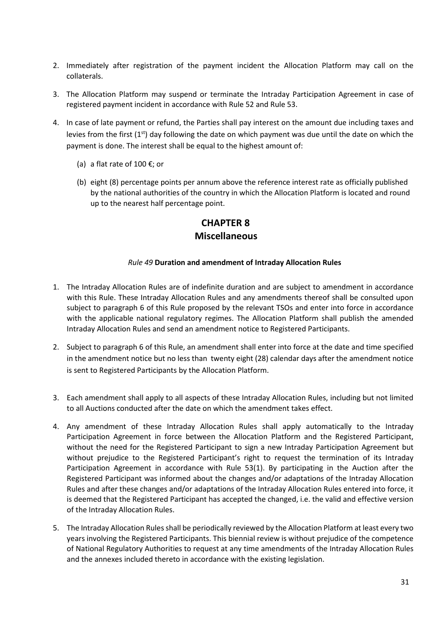- 2. Immediately after registration of the payment incident the Allocation Platform may call on the collaterals.
- 3. The Allocation Platform may suspend or terminate the Intraday Participation Agreement in case of registered payment incident in accordance with Rule 52 and Rule 53.
- 4. In case of late payment or refund, the Parties shall pay interest on the amount due including taxes and levies from the first (1<sup>st</sup>) day following the date on which payment was due until the date on which the payment is done. The interest shall be equal to the highest amount of:
	- (a) a flat rate of 100  $\epsilon$ ; or
	- (b) eight (8) percentage points per annum above the reference interest rate as officially published by the national authorities of the country in which the Allocation Platform is located and round up to the nearest half percentage point.

## **CHAPTER 8 Miscellaneous**

#### *Rule 49* **Duration and amendment of Intraday Allocation Rules**

- <span id="page-30-1"></span><span id="page-30-0"></span>1. The Intraday Allocation Rules are of indefinite duration and are subject to amendment in accordance with this Rule. These Intraday Allocation Rules and any amendments thereof shall be consulted upon subject to paragraph 6 of this Rule proposed by the relevant TSOs and enter into force in accordance with the applicable national regulatory regimes. The Allocation Platform shall publish the amended Intraday Allocation Rules and send an amendment notice to Registered Participants.
- 2. Subject to paragraph 6 of this Rule, an amendment shall enter into force at the date and time specified in the amendment notice but no less than twenty eight (28) calendar days after the amendment notice is sent to Registered Participants by the Allocation Platform.
- 3. Each amendment shall apply to all aspects of these Intraday Allocation Rules, including but not limited to all Auctions conducted after the date on which the amendment takes effect.
- 4. Any amendment of these Intraday Allocation Rules shall apply automatically to the Intraday Participation Agreement in force between the Allocation Platform and the Registered Participant, without the need for the Registered Participant to sign a new Intraday Participation Agreement but without prejudice to the Registered Participant's right to request the termination of its Intraday Participation Agreement in accordance with Rule 53(1). By participating in the Auction after the Registered Participant was informed about the changes and/or adaptations of the Intraday Allocation Rules and after these changes and/or adaptations of the Intraday Allocation Rules entered into force, it is deemed that the Registered Participant has accepted the changed, i.e. the valid and effective version of the Intraday Allocation Rules.
- 5. The Intraday Allocation Rules shall be periodically reviewed by the Allocation Platform at least every two years involving the Registered Participants. This biennial review is without prejudice of the competence of National Regulatory Authorities to request at any time amendments of the Intraday Allocation Rules and the annexes included thereto in accordance with the existing legislation.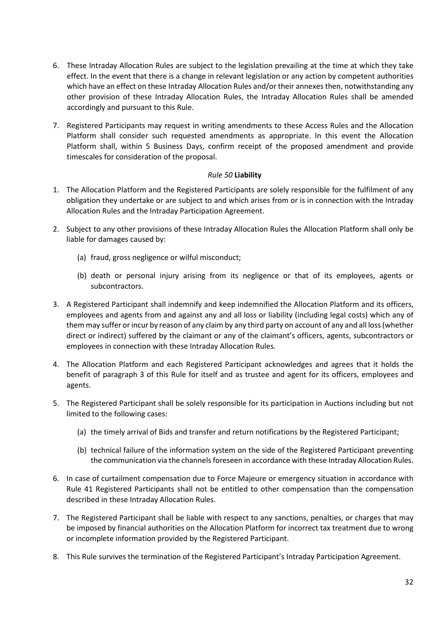- 6. These Intraday Allocation Rules are subject to the legislation prevailing at the time at which they take effect. In the event that there is a change in relevant legislation or any action by competent authorities which have an effect on these Intraday Allocation Rules and/or their annexes then, notwithstanding any other provision of these Intraday Allocation Rules, the Intraday Allocation Rules shall be amended accordingly and pursuant to this Rule.
- 7. Registered Participants may request in writing amendments to these Access Rules and the Allocation Platform shall consider such requested amendments as appropriate. In this event the Allocation Platform shall, within 5 Business Days, confirm receipt of the proposed amendment and provide timescales for consideration of the proposal.

## *Rule 50* **Liability**

- <span id="page-31-0"></span>1. The Allocation Platform and the Registered Participants are solely responsible for the fulfilment of any obligation they undertake or are subject to and which arises from or is in connection with the Intraday Allocation Rules and the Intraday Participation Agreement.
- 2. Subject to any other provisions of these Intraday Allocation Rules the Allocation Platform shall only be liable for damages caused by:
	- (a) fraud, gross negligence or wilful misconduct;
	- (b) death or personal injury arising from its negligence or that of its employees, agents or subcontractors.
- 3. A Registered Participant shall indemnify and keep indemnified the Allocation Platform and its officers, employees and agents from and against any and all loss or liability (including legal costs) which any of them may suffer or incur by reason of any claim by any third party on account of any and all loss (whether direct or indirect) suffered by the claimant or any of the claimant's officers, agents, subcontractors or employees in connection with these Intraday Allocation Rules.
- 4. The Allocation Platform and each Registered Participant acknowledges and agrees that it holds the benefit of paragraph 3 of this Rule for itself and as trustee and agent for its officers, employees and agents.
- 5. The Registered Participant shall be solely responsible for its participation in Auctions including but not limited to the following cases:
	- (a) the timely arrival of Bids and transfer and return notifications by the Registered Participant;
	- (b) technical failure of the information system on the side of the Registered Participant preventing the communication via the channels foreseen in accordance with these Intraday Allocation Rules.
- 6. In case of curtailment compensation due to Force Majeure or emergency situation in accordance with Rule 41 Registered Participants shall not be entitled to other compensation than the compensation described in these Intraday Allocation Rules.
- 7. The Registered Participant shall be liable with respect to any sanctions, penalties, or charges that may be imposed by financial authorities on the Allocation Platform for incorrect tax treatment due to wrong or incomplete information provided by the Registered Participant.
- 8. This Rule survives the termination of the Registered Participant's Intraday Participation Agreement.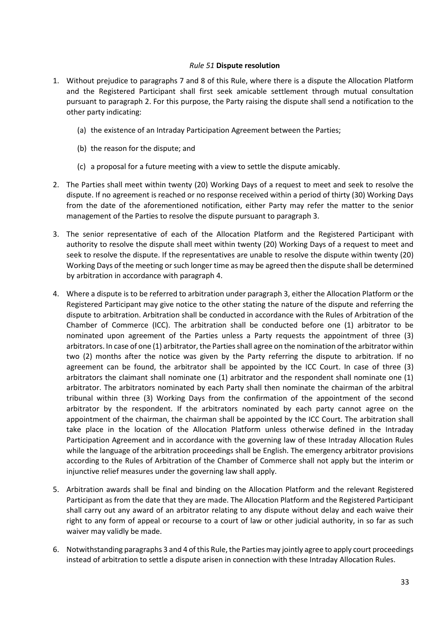## *Rule 51* **Dispute resolution**

- <span id="page-32-0"></span>1. Without prejudice to paragraphs 7 and 8 of this Rule, where there is a dispute the Allocation Platform and the Registered Participant shall first seek amicable settlement through mutual consultation pursuant to paragraph 2. For this purpose, the Party raising the dispute shall send a notification to the other party indicating:
	- (a) the existence of an Intraday Participation Agreement between the Parties;
	- (b) the reason for the dispute; and
	- (c) a proposal for a future meeting with a view to settle the dispute amicably.
- 2. The Parties shall meet within twenty (20) Working Days of a request to meet and seek to resolve the dispute. If no agreement is reached or no response received within a period of thirty (30) Working Days from the date of the aforementioned notification, either Party may refer the matter to the senior management of the Parties to resolve the dispute pursuant to paragraph 3.
- 3. The senior representative of each of the Allocation Platform and the Registered Participant with authority to resolve the dispute shall meet within twenty (20) Working Days of a request to meet and seek to resolve the dispute. If the representatives are unable to resolve the dispute within twenty (20) Working Days of the meeting or such longer time as may be agreed then the dispute shall be determined by arbitration in accordance with paragraph 4.
- 4. Where a dispute is to be referred to arbitration under paragraph 3, either the Allocation Platform or the Registered Participant may give notice to the other stating the nature of the dispute and referring the dispute to arbitration. Arbitration shall be conducted in accordance with the Rules of Arbitration of the Chamber of Commerce (ICC). The arbitration shall be conducted before one (1) arbitrator to be nominated upon agreement of the Parties unless a Party requests the appointment of three (3) arbitrators. In case of one (1) arbitrator, the Parties shall agree on the nomination of the arbitrator within two (2) months after the notice was given by the Party referring the dispute to arbitration. If no agreement can be found, the arbitrator shall be appointed by the ICC Court. In case of three (3) arbitrators the claimant shall nominate one (1) arbitrator and the respondent shall nominate one (1) arbitrator. The arbitrators nominated by each Party shall then nominate the chairman of the arbitral tribunal within three (3) Working Days from the confirmation of the appointment of the second arbitrator by the respondent. If the arbitrators nominated by each party cannot agree on the appointment of the chairman, the chairman shall be appointed by the ICC Court. The arbitration shall take place in the location of the Allocation Platform unless otherwise defined in the Intraday Participation Agreement and in accordance with the governing law of these Intraday Allocation Rules while the language of the arbitration proceedings shall be English. The emergency arbitrator provisions according to the Rules of Arbitration of the Chamber of Commerce shall not apply but the interim or injunctive relief measures under the governing law shall apply.
- 5. Arbitration awards shall be final and binding on the Allocation Platform and the relevant Registered Participant as from the date that they are made. The Allocation Platform and the Registered Participant shall carry out any award of an arbitrator relating to any dispute without delay and each waive their right to any form of appeal or recourse to a court of law or other judicial authority, in so far as such waiver may validly be made.
- 6. Notwithstanding paragraphs 3 and 4 of this Rule, the Parties may jointly agree to apply court proceedings instead of arbitration to settle a dispute arisen in connection with these Intraday Allocation Rules.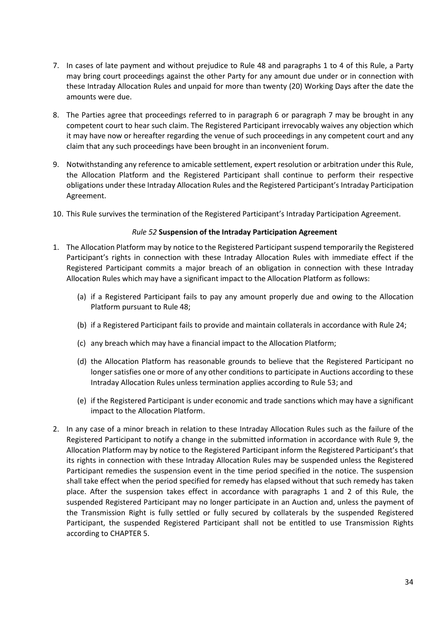- 7. In cases of late payment and without prejudice to Rule 48 and paragraphs 1 to 4 of this Rule, a Party may bring court proceedings against the other Party for any amount due under or in connection with these Intraday Allocation Rules and unpaid for more than twenty (20) Working Days after the date the amounts were due.
- 8. The Parties agree that proceedings referred to in paragraph 6 or paragraph 7 may be brought in any competent court to hear such claim. The Registered Participant irrevocably waives any objection which it may have now or hereafter regarding the venue of such proceedings in any competent court and any claim that any such proceedings have been brought in an inconvenient forum.
- 9. Notwithstanding any reference to amicable settlement, expert resolution or arbitration under this Rule, the Allocation Platform and the Registered Participant shall continue to perform their respective obligations under these Intraday Allocation Rules and the Registered Participant's Intraday Participation Agreement.
- 10. This Rule survives the termination of the Registered Participant's Intraday Participation Agreement.

## *Rule 52* **Suspension of the Intraday Participation Agreement**

- <span id="page-33-0"></span>1. The Allocation Platform may by notice to the Registered Participant suspend temporarily the Registered Participant's rights in connection with these Intraday Allocation Rules with immediate effect if the Registered Participant commits a major breach of an obligation in connection with these Intraday Allocation Rules which may have a significant impact to the Allocation Platform as follows:
	- (a) if a Registered Participant fails to pay any amount properly due and owing to the Allocation Platform pursuant to Rule 48;
	- (b) if a Registered Participant fails to provide and maintain collaterals in accordance with Rule 24;
	- (c) any breach which may have a financial impact to the Allocation Platform;
	- (d) the Allocation Platform has reasonable grounds to believe that the Registered Participant no longer satisfies one or more of any other conditions to participate in Auctions according to these Intraday Allocation Rules unless termination applies according to Rule 53; and
	- (e) if the Registered Participant is under economic and trade sanctions which may have a significant impact to the Allocation Platform.
- 2. In any case of a minor breach in relation to these Intraday Allocation Rules such as the failure of the Registered Participant to notify a change in the submitted information in accordance with Rule 9, the Allocation Platform may by notice to the Registered Participant inform the Registered Participant's that its rights in connection with these Intraday Allocation Rules may be suspended unless the Registered Participant remedies the suspension event in the time period specified in the notice. The suspension shall take effect when the period specified for remedy has elapsed without that such remedy has taken place. After the suspension takes effect in accordance with paragraphs 1 and 2 of this Rule, the suspended Registered Participant may no longer participate in an Auction and, unless the payment of the Transmission Right is fully settled or fully secured by collaterals by the suspended Registered Participant, the suspended Registered Participant shall not be entitled to use Transmission Rights according to CHAPTER 5.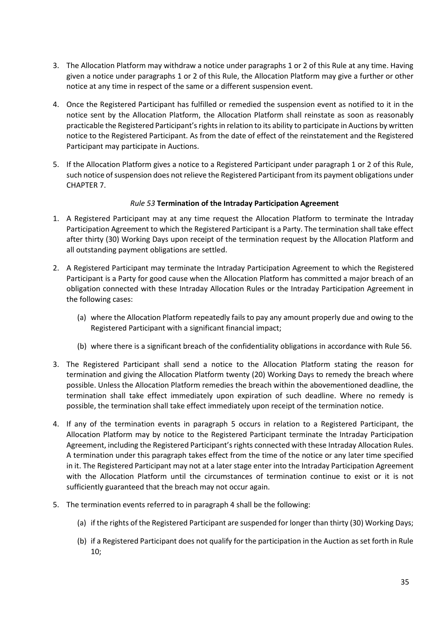- 3. The Allocation Platform may withdraw a notice under paragraphs 1 or 2 of this Rule at any time. Having given a notice under paragraphs 1 or 2 of this Rule, the Allocation Platform may give a further or other notice at any time in respect of the same or a different suspension event.
- 4. Once the Registered Participant has fulfilled or remedied the suspension event as notified to it in the notice sent by the Allocation Platform, the Allocation Platform shall reinstate as soon as reasonably practicable the Registered Participant's rights in relation to its ability to participate in Auctions by written notice to the Registered Participant. As from the date of effect of the reinstatement and the Registered Participant may participate in Auctions.
- 5. If the Allocation Platform gives a notice to a Registered Participant under paragraph 1 or 2 of this Rule, such notice of suspension does not relieve the Registered Participant from its payment obligations under CHAPTER 7.

## *Rule 53* **Termination of the Intraday Participation Agreement**

- <span id="page-34-0"></span>1. A Registered Participant may at any time request the Allocation Platform to terminate the Intraday Participation Agreement to which the Registered Participant is a Party. The termination shall take effect after thirty (30) Working Days upon receipt of the termination request by the Allocation Platform and all outstanding payment obligations are settled.
- 2. A Registered Participant may terminate the Intraday Participation Agreement to which the Registered Participant is a Party for good cause when the Allocation Platform has committed a major breach of an obligation connected with these Intraday Allocation Rules or the Intraday Participation Agreement in the following cases:
	- (a) where the Allocation Platform repeatedly fails to pay any amount properly due and owing to the Registered Participant with a significant financial impact;
	- (b) where there is a significant breach of the confidentiality obligations in accordance with Rule 56.
- 3. The Registered Participant shall send a notice to the Allocation Platform stating the reason for termination and giving the Allocation Platform twenty (20) Working Days to remedy the breach where possible. Unless the Allocation Platform remedies the breach within the abovementioned deadline, the termination shall take effect immediately upon expiration of such deadline. Where no remedy is possible, the termination shall take effect immediately upon receipt of the termination notice.
- 4. If any of the termination events in paragraph 5 occurs in relation to a Registered Participant, the Allocation Platform may by notice to the Registered Participant terminate the Intraday Participation Agreement, including the Registered Participant's rights connected with these Intraday Allocation Rules. A termination under this paragraph takes effect from the time of the notice or any later time specified in it. The Registered Participant may not at a later stage enter into the Intraday Participation Agreement with the Allocation Platform until the circumstances of termination continue to exist or it is not sufficiently guaranteed that the breach may not occur again.
- 5. The termination events referred to in paragraph 4 shall be the following:
	- (a) if the rights of the Registered Participant are suspended for longer than thirty (30) Working Days;
	- (b) if a Registered Participant does not qualify for the participation in the Auction as set forth in Rule 10;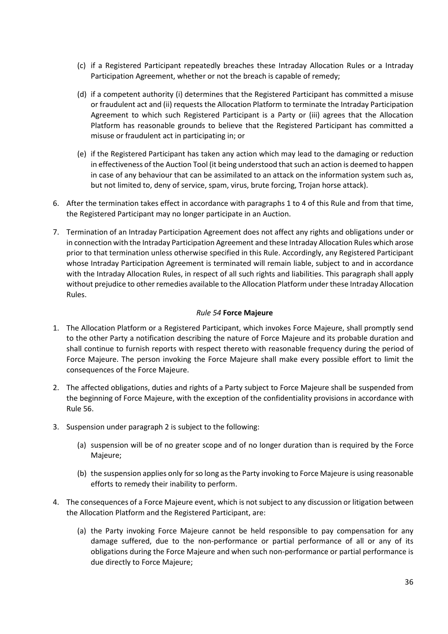- (c) if a Registered Participant repeatedly breaches these Intraday Allocation Rules or a Intraday Participation Agreement, whether or not the breach is capable of remedy;
- (d) if a competent authority (i) determines that the Registered Participant has committed a misuse or fraudulent act and (ii) requests the Allocation Platform to terminate the Intraday Participation Agreement to which such Registered Participant is a Party or (iii) agrees that the Allocation Platform has reasonable grounds to believe that the Registered Participant has committed a misuse or fraudulent act in participating in; or
- (e) if the Registered Participant has taken any action which may lead to the damaging or reduction in effectiveness of the Auction Tool (it being understood that such an action is deemed to happen in case of any behaviour that can be assimilated to an attack on the information system such as, but not limited to, deny of service, spam, virus, brute forcing, Trojan horse attack).
- 6. After the termination takes effect in accordance with paragraphs 1 to 4 of this Rule and from that time, the Registered Participant may no longer participate in an Auction.
- 7. Termination of an Intraday Participation Agreement does not affect any rights and obligations under or in connection with the Intraday Participation Agreement and these Intraday Allocation Rules which arose prior to that termination unless otherwise specified in this Rule. Accordingly, any Registered Participant whose Intraday Participation Agreement is terminated will remain liable, subject to and in accordance with the Intraday Allocation Rules, in respect of all such rights and liabilities. This paragraph shall apply without prejudice to other remedies available to the Allocation Platform under these Intraday Allocation Rules.

## *Rule 54* **Force Majeure**

- <span id="page-35-0"></span>1. The Allocation Platform or a Registered Participant, which invokes Force Majeure, shall promptly send to the other Party a notification describing the nature of Force Majeure and its probable duration and shall continue to furnish reports with respect thereto with reasonable frequency during the period of Force Majeure. The person invoking the Force Majeure shall make every possible effort to limit the consequences of the Force Majeure.
- 2. The affected obligations, duties and rights of a Party subject to Force Majeure shall be suspended from the beginning of Force Majeure, with the exception of the confidentiality provisions in accordance with Rule 56.
- 3. Suspension under paragraph 2 is subject to the following:
	- (a) suspension will be of no greater scope and of no longer duration than is required by the Force Majeure;
	- (b) the suspension applies only for so long as the Party invoking to Force Majeure is using reasonable efforts to remedy their inability to perform.
- 4. The consequences of a Force Majeure event, which is not subject to any discussion or litigation between the Allocation Platform and the Registered Participant, are:
	- (a) the Party invoking Force Majeure cannot be held responsible to pay compensation for any damage suffered, due to the non-performance or partial performance of all or any of its obligations during the Force Majeure and when such non-performance or partial performance is due directly to Force Majeure;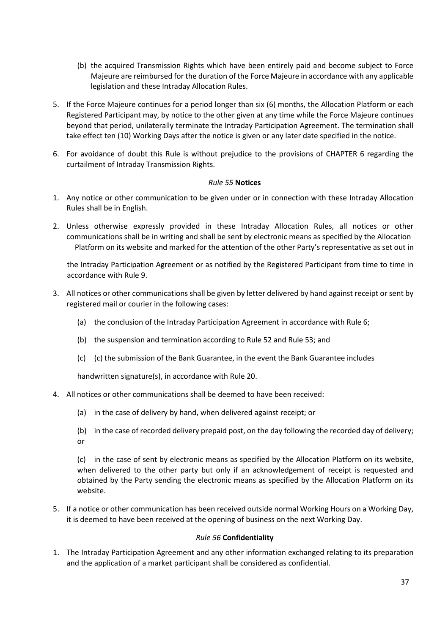- (b) the acquired Transmission Rights which have been entirely paid and become subject to Force Majeure are reimbursed for the duration of the Force Majeure in accordance with any applicable legislation and these Intraday Allocation Rules.
- 5. If the Force Majeure continues for a period longer than six (6) months, the Allocation Platform or each Registered Participant may, by notice to the other given at any time while the Force Majeure continues beyond that period, unilaterally terminate the Intraday Participation Agreement. The termination shall take effect ten (10) Working Days after the notice is given or any later date specified in the notice.
- 6. For avoidance of doubt this Rule is without prejudice to the provisions of CHAPTER 6 regarding the curtailment of Intraday Transmission Rights.

## *Rule 55* **Notices**

- <span id="page-36-0"></span>1. Any notice or other communication to be given under or in connection with these Intraday Allocation Rules shall be in English.
- 2. Unless otherwise expressly provided in these Intraday Allocation Rules, all notices or other communications shall be in writing and shall be sent by electronic means as specified by the Allocation Platform on its website and marked for the attention of the other Party's representative as set out in

the Intraday Participation Agreement or as notified by the Registered Participant from time to time in accordance with Rule 9.

- 3. All notices or other communications shall be given by letter delivered by hand against receipt or sent by registered mail or courier in the following cases:
	- (a) the conclusion of the Intraday Participation Agreement in accordance with Rule 6;
	- (b) the suspension and termination according to Rule 52 and Rule 53; and
	- (c) (c) the submission of the Bank Guarantee, in the event the Bank Guarantee includes

handwritten signature(s), in accordance with Rule 20.

- 4. All notices or other communications shall be deemed to have been received:
	- (a) in the case of delivery by hand, when delivered against receipt; or
	- (b) in the case of recorded delivery prepaid post, on the day following the recorded day of delivery; or

(c) in the case of sent by electronic means as specified by the Allocation Platform on its website, when delivered to the other party but only if an acknowledgement of receipt is requested and obtained by the Party sending the electronic means as specified by the Allocation Platform on its website.

5. If a notice or other communication has been received outside normal Working Hours on a Working Day, it is deemed to have been received at the opening of business on the next Working Day.

## *Rule 56* **Confidentiality**

<span id="page-36-1"></span>1. The Intraday Participation Agreement and any other information exchanged relating to its preparation and the application of a market participant shall be considered as confidential.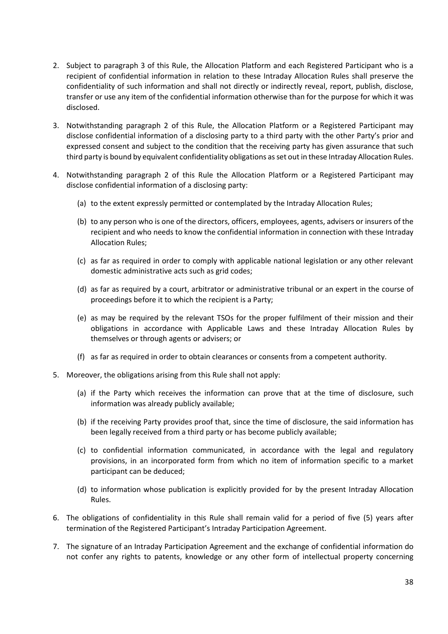- 2. Subject to paragraph 3 of this Rule, the Allocation Platform and each Registered Participant who is a recipient of confidential information in relation to these Intraday Allocation Rules shall preserve the confidentiality of such information and shall not directly or indirectly reveal, report, publish, disclose, transfer or use any item of the confidential information otherwise than for the purpose for which it was disclosed.
- 3. Notwithstanding paragraph 2 of this Rule, the Allocation Platform or a Registered Participant may disclose confidential information of a disclosing party to a third party with the other Party's prior and expressed consent and subject to the condition that the receiving party has given assurance that such third party is bound by equivalent confidentiality obligations as set out in these Intraday Allocation Rules.
- 4. Notwithstanding paragraph 2 of this Rule the Allocation Platform or a Registered Participant may disclose confidential information of a disclosing party:
	- (a) to the extent expressly permitted or contemplated by the Intraday Allocation Rules;
	- (b) to any person who is one of the directors, officers, employees, agents, advisers or insurers of the recipient and who needs to know the confidential information in connection with these Intraday Allocation Rules;
	- (c) as far as required in order to comply with applicable national legislation or any other relevant domestic administrative acts such as grid codes;
	- (d) as far as required by a court, arbitrator or administrative tribunal or an expert in the course of proceedings before it to which the recipient is a Party;
	- (e) as may be required by the relevant TSOs for the proper fulfilment of their mission and their obligations in accordance with Applicable Laws and these Intraday Allocation Rules by themselves or through agents or advisers; or
	- (f) as far as required in order to obtain clearances or consents from a competent authority.
- 5. Moreover, the obligations arising from this Rule shall not apply:
	- (a) if the Party which receives the information can prove that at the time of disclosure, such information was already publicly available;
	- (b) if the receiving Party provides proof that, since the time of disclosure, the said information has been legally received from a third party or has become publicly available;
	- (c) to confidential information communicated, in accordance with the legal and regulatory provisions, in an incorporated form from which no item of information specific to a market participant can be deduced;
	- (d) to information whose publication is explicitly provided for by the present Intraday Allocation Rules.
- 6. The obligations of confidentiality in this Rule shall remain valid for a period of five (5) years after termination of the Registered Participant's Intraday Participation Agreement.
- 7. The signature of an Intraday Participation Agreement and the exchange of confidential information do not confer any rights to patents, knowledge or any other form of intellectual property concerning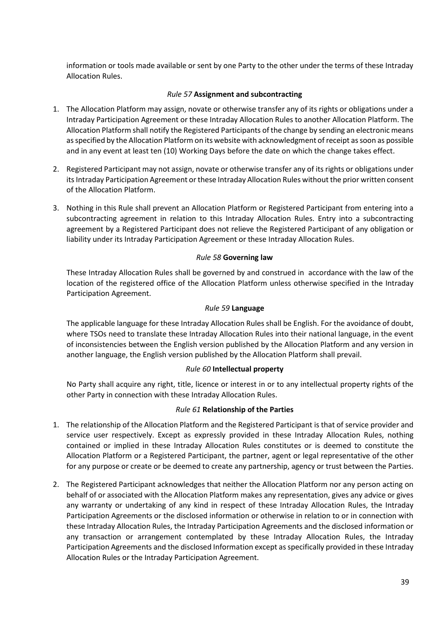information or tools made available or sent by one Party to the other under the terms of these Intraday Allocation Rules.

## *Rule 57* **Assignment and subcontracting**

- <span id="page-38-0"></span>1. The Allocation Platform may assign, novate or otherwise transfer any of its rights or obligations under a Intraday Participation Agreement or these Intraday Allocation Rules to another Allocation Platform. The Allocation Platform shall notify the Registered Participants of the change by sending an electronic means as specified by the Allocation Platform on its website with acknowledgment of receipt as soon as possible and in any event at least ten (10) Working Days before the date on which the change takes effect.
- 2. Registered Participant may not assign, novate or otherwise transfer any of its rights or obligations under its Intraday Participation Agreement or these Intraday Allocation Rules without the prior written consent of the Allocation Platform.
- 3. Nothing in this Rule shall prevent an Allocation Platform or Registered Participant from entering into a subcontracting agreement in relation to this Intraday Allocation Rules. Entry into a subcontracting agreement by a Registered Participant does not relieve the Registered Participant of any obligation or liability under its Intraday Participation Agreement or these Intraday Allocation Rules.

## *Rule 58* **Governing law**

<span id="page-38-1"></span>These Intraday Allocation Rules shall be governed by and construed in accordance with the law of the location of the registered office of the Allocation Platform unless otherwise specified in the Intraday Participation Agreement.

## *Rule 59* **Language**

<span id="page-38-2"></span>The applicable language for these Intraday Allocation Rules shall be English. For the avoidance of doubt, where TSOs need to translate these Intraday Allocation Rules into their national language, in the event of inconsistencies between the English version published by the Allocation Platform and any version in another language, the English version published by the Allocation Platform shall prevail.

## *Rule 60* **Intellectual property**

<span id="page-38-3"></span>No Party shall acquire any right, title, licence or interest in or to any intellectual property rights of the other Party in connection with these Intraday Allocation Rules.

## *Rule 61* **Relationship of the Parties**

- <span id="page-38-4"></span>1. The relationship of the Allocation Platform and the Registered Participant is that of service provider and service user respectively. Except as expressly provided in these Intraday Allocation Rules, nothing contained or implied in these Intraday Allocation Rules constitutes or is deemed to constitute the Allocation Platform or a Registered Participant, the partner, agent or legal representative of the other for any purpose or create or be deemed to create any partnership, agency or trust between the Parties.
- 2. The Registered Participant acknowledges that neither the Allocation Platform nor any person acting on behalf of or associated with the Allocation Platform makes any representation, gives any advice or gives any warranty or undertaking of any kind in respect of these Intraday Allocation Rules, the Intraday Participation Agreements or the disclosed information or otherwise in relation to or in connection with these Intraday Allocation Rules, the Intraday Participation Agreements and the disclosed information or any transaction or arrangement contemplated by these Intraday Allocation Rules, the Intraday Participation Agreements and the disclosed Information except as specifically provided in these Intraday Allocation Rules or the Intraday Participation Agreement.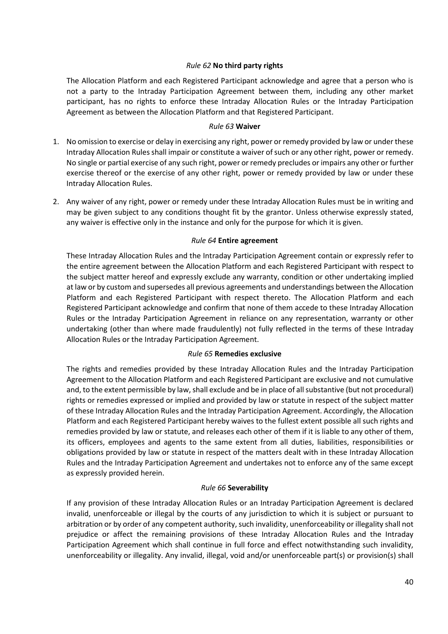## *Rule 62* **No third party rights**

<span id="page-39-0"></span>The Allocation Platform and each Registered Participant acknowledge and agree that a person who is not a party to the Intraday Participation Agreement between them, including any other market participant, has no rights to enforce these Intraday Allocation Rules or the Intraday Participation Agreement as between the Allocation Platform and that Registered Participant.

## *Rule 63* **Waiver**

- <span id="page-39-1"></span>1. No omission to exercise or delay in exercising any right, power or remedy provided by law or under these Intraday Allocation Rules shall impair or constitute a waiver of such or any other right, power or remedy. No single or partial exercise of any such right, power or remedy precludes or impairs any other or further exercise thereof or the exercise of any other right, power or remedy provided by law or under these Intraday Allocation Rules.
- 2. Any waiver of any right, power or remedy under these Intraday Allocation Rules must be in writing and may be given subject to any conditions thought fit by the grantor. Unless otherwise expressly stated, any waiver is effective only in the instance and only for the purpose for which it is given.

## *Rule 64* **Entire agreement**

<span id="page-39-2"></span>These Intraday Allocation Rules and the Intraday Participation Agreement contain or expressly refer to the entire agreement between the Allocation Platform and each Registered Participant with respect to the subject matter hereof and expressly exclude any warranty, condition or other undertaking implied at law or by custom and supersedes all previous agreements and understandings between the Allocation Platform and each Registered Participant with respect thereto. The Allocation Platform and each Registered Participant acknowledge and confirm that none of them accede to these Intraday Allocation Rules or the Intraday Participation Agreement in reliance on any representation, warranty or other undertaking (other than where made fraudulently) not fully reflected in the terms of these Intraday Allocation Rules or the Intraday Participation Agreement.

## *Rule 65* **Remedies exclusive**

<span id="page-39-3"></span>The rights and remedies provided by these Intraday Allocation Rules and the Intraday Participation Agreement to the Allocation Platform and each Registered Participant are exclusive and not cumulative and, to the extent permissible by law, shall exclude and be in place of all substantive (but not procedural) rights or remedies expressed or implied and provided by law or statute in respect of the subject matter of these Intraday Allocation Rules and the Intraday Participation Agreement. Accordingly, the Allocation Platform and each Registered Participant hereby waives to the fullest extent possible all such rights and remedies provided by law or statute, and releases each other of them if it is liable to any other of them, its officers, employees and agents to the same extent from all duties, liabilities, responsibilities or obligations provided by law or statute in respect of the matters dealt with in these Intraday Allocation Rules and the Intraday Participation Agreement and undertakes not to enforce any of the same except as expressly provided herein.

## *Rule 66* **Severability**

<span id="page-39-4"></span>If any provision of these Intraday Allocation Rules or an Intraday Participation Agreement is declared invalid, unenforceable or illegal by the courts of any jurisdiction to which it is subject or pursuant to arbitration or by order of any competent authority, such invalidity, unenforceability or illegality shall not prejudice or affect the remaining provisions of these Intraday Allocation Rules and the Intraday Participation Agreement which shall continue in full force and effect notwithstanding such invalidity, unenforceability or illegality. Any invalid, illegal, void and/or unenforceable part(s) or provision(s) shall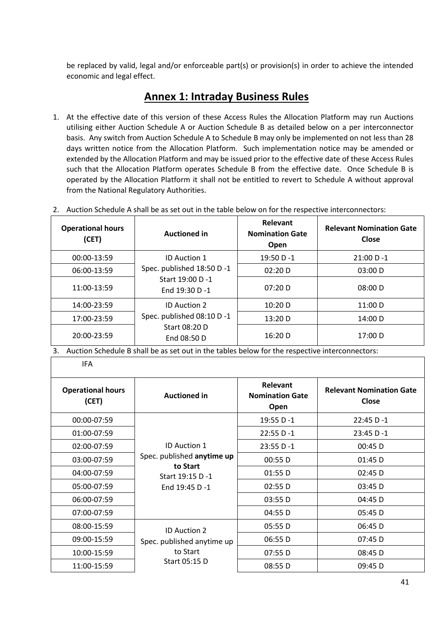be replaced by valid, legal and/or enforceable part(s) or provision(s) in order to achieve the intended economic and legal effect.

# **Annex 1: Intraday Business Rules**

1. At the effective date of this version of these Access Rules the Allocation Platform may run Auctions utilising either Auction Schedule A or Auction Schedule B as detailed below on a per interconnector basis. Any switch from Auction Schedule A to Schedule B may only be implemented on not less than 28 days written notice from the Allocation Platform. Such implementation notice may be amended or extended by the Allocation Platform and may be issued prior to the effective date of these Access Rules such that the Allocation Platform operates Schedule B from the effective date. Once Schedule B is operated by the Allocation Platform it shall not be entitled to revert to Schedule A without approval from the National Regulatory Authorities.

| <b>Operational hours</b><br>(CET) | <b>Auctioned in</b>                               | <b>Relevant</b><br><b>Nomination Gate</b><br>Open | <b>Relevant Nomination Gate</b><br>Close |
|-----------------------------------|---------------------------------------------------|---------------------------------------------------|------------------------------------------|
| 00:00-13:59                       | <b>ID Auction 1</b>                               | $19:50 D - 1$                                     | $21:00 D - 1$                            |
| 06:00-13:59                       | Spec. published 18:50 D -1                        | 02:20 D                                           | 03:00 D                                  |
| 11:00-13:59                       | Start 19:00 D -1<br>End 19:30 D -1                | 07:20 D                                           | 08:00 D                                  |
| 14:00-23:59                       | <b>ID Auction 2</b><br>Spec. published 08:10 D -1 | 10:20 D                                           | 11:00 D                                  |
| 17:00-23:59                       |                                                   | 13:20 D                                           | 14:00 D                                  |
| 20:00-23:59                       | Start 08:20 D<br>End 08:50 D                      | 16:20 D                                           | 17:00 D                                  |

2. Auction Schedule A shall be as set out in the table below on for the respective interconnectors:

3. Auction Schedule B shall be as set out in the tables below for the respective interconnectors:

IFA

| <b>Operational hours</b><br>(CET) | <b>Auctioned in</b>                                                                                | <b>Relevant</b><br><b>Nomination Gate</b><br>Open | <b>Relevant Nomination Gate</b><br>Close |
|-----------------------------------|----------------------------------------------------------------------------------------------------|---------------------------------------------------|------------------------------------------|
| 00:00-07:59                       |                                                                                                    | 19:55 D-1                                         | $22:45 D - 1$                            |
| 01:00-07:59                       |                                                                                                    | $22:55 D - 1$                                     | $23:45 D - 1$                            |
| 02:00-07:59                       | <b>ID Auction 1</b><br>Spec. published anytime up<br>to Start<br>Start 19:15 D-1<br>End 19:45 D -1 | $23:55 D - 1$                                     | $00:45$ D                                |
| 03:00-07:59                       |                                                                                                    | 00:55 D                                           | 01:45 D                                  |
| 04:00-07:59                       |                                                                                                    | 01:55 D                                           | $02:45$ D                                |
| 05:00-07:59                       |                                                                                                    | 02:55 D                                           | $03:45$ D                                |
| 06:00-07:59                       |                                                                                                    | 03:55 D                                           | 04:45 D                                  |
| 07:00-07:59                       |                                                                                                    | 04:55 D                                           | $05:45$ D                                |
| 08:00-15:59                       | <b>ID Auction 2</b><br>Spec. published anytime up<br>to Start<br>Start 05:15 D                     | 05:55 D                                           | 06:45 D                                  |
| 09:00-15:59                       |                                                                                                    | 06:55 D                                           | $07:45$ D                                |
| 10:00-15:59                       |                                                                                                    | 07:55 D                                           | 08:45 D                                  |
| 11:00-15:59                       |                                                                                                    | 08:55 D                                           | 09:45 D                                  |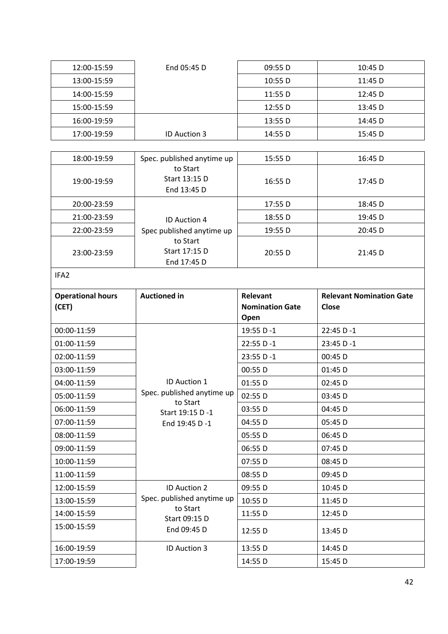| 12:00-15:59 | End 05:45 D         | 09:55 D | $10:45$ D |
|-------------|---------------------|---------|-----------|
| 13:00-15:59 |                     | 10:55 D | $11:45$ D |
| 14:00-15:59 |                     | 11:55 D | $12:45$ D |
| 15:00-15:59 |                     | 12:55 D | 13:45 D   |
| 16:00-19:59 |                     | 13:55 D | 14:45 D   |
| 17:00-19:59 | <b>ID Auction 3</b> | 14:55 D | 15:45 D   |

| 18:00-19:59 | Spec. published anytime up               | 15:55 D | 16:45 D |
|-------------|------------------------------------------|---------|---------|
| 19:00-19:59 | to Start<br>Start 13:15 D<br>End 13:45 D | 16:55 D | 17:45 D |
| 20:00-23:59 |                                          | 17:55 D | 18:45 D |
| 21:00-23:59 | <b>ID Auction 4</b>                      | 18:55 D | 19:45 D |
| 22:00-23:59 | Spec published anytime up                | 19:55 D | 20:45 D |
| 23:00-23:59 | to Start<br>Start 17:15 D<br>End 17:45 D | 20:55D  | 21:45 D |

IFA2

| <b>Operational hours</b> | <b>Auctioned in</b>                      | Relevant               | <b>Relevant Nomination Gate</b> |
|--------------------------|------------------------------------------|------------------------|---------------------------------|
| (CET)                    |                                          | <b>Nomination Gate</b> | Close                           |
|                          |                                          | Open                   |                                 |
| 00:00-11:59              |                                          | 19:55 D-1              | $22:45 D - 1$                   |
| 01:00-11:59              |                                          | 22:55 D-1              | $23:45 D - 1$                   |
| 02:00-11:59              |                                          | $23:55 D - 1$          | 00:45 D                         |
| 03:00-11:59              |                                          | 00:55 D                | $01:45$ D                       |
| 04:00-11:59              | ID Auction 1                             | 01:55 D                | 02:45 D                         |
| 05:00-11:59              | Spec. published anytime up<br>to Start   | 02:55 D                | $03:45$ D                       |
| 06:00-11:59              | Start 19:15 D -1                         | 03:55 D                | $04:45$ D                       |
| 07:00-11:59              | End 19:45 D -1                           | 04:55 D                | 05:45 D                         |
| 08:00-11:59              |                                          | 05:55 D                | 06:45 D                         |
| 09:00-11:59              |                                          | 06:55 D                | $07:45$ D                       |
| 10:00-11:59              |                                          | 07:55 D                | 08:45 D                         |
| 11:00-11:59              |                                          | 08:55 D                | 09:45 D                         |
| 12:00-15:59              | <b>ID Auction 2</b>                      | 09:55 D                | $10:45$ D                       |
| 13:00-15:59              | Spec. published anytime up               | 10:55 D                | 11:45 D                         |
| 14:00-15:59              | to Start<br>Start 09:15 D<br>End 09:45 D | 11:55 D                | 12:45 D                         |
| 15:00-15:59              |                                          | 12:55 D                | $13:45$ D                       |
| 16:00-19:59              | <b>ID Auction 3</b>                      | 13:55 D                | 14:45 D                         |
| 17:00-19:59              |                                          | 14:55 D                | 15:45 D                         |